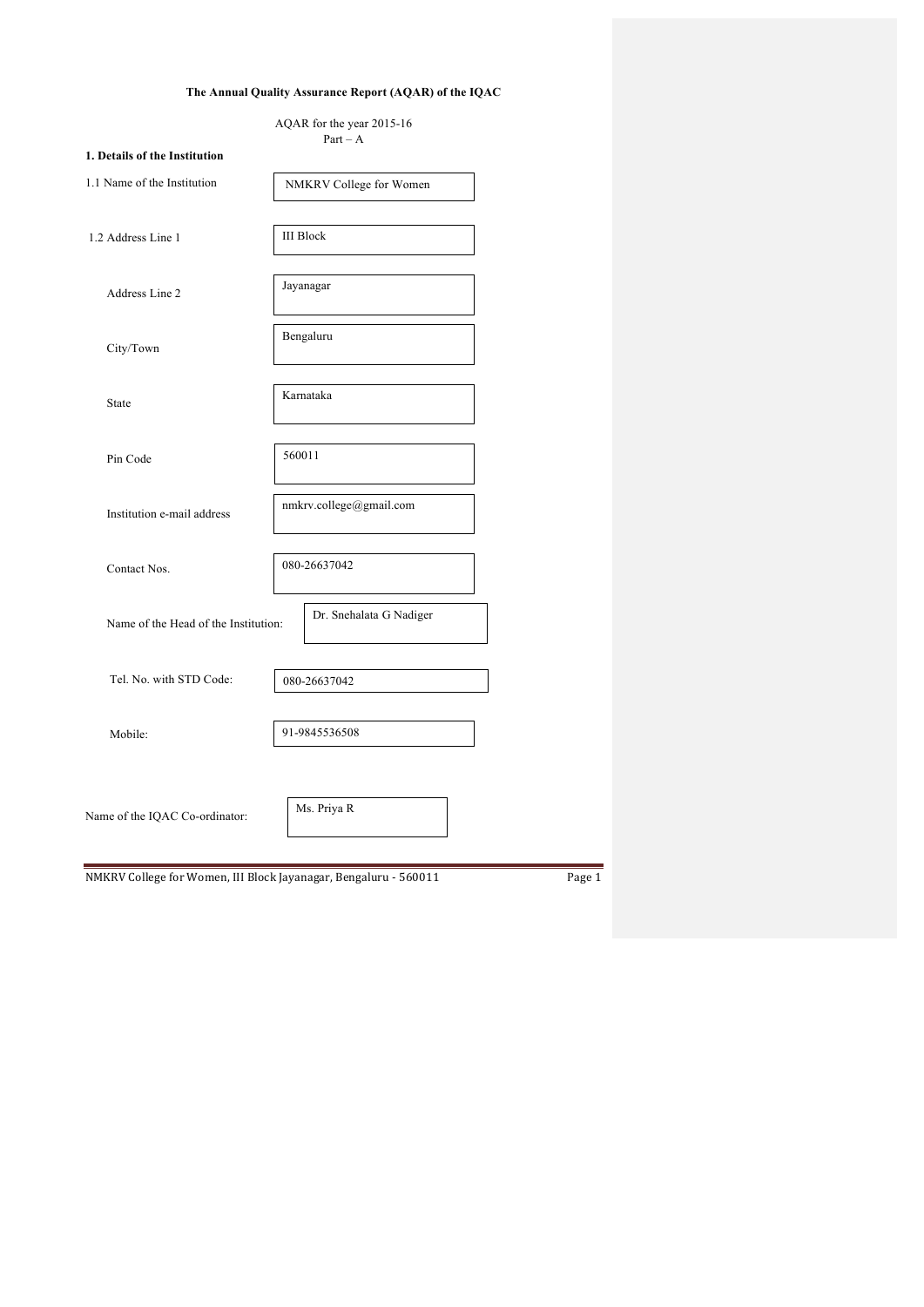# **The Annual Quality Assurance Report (AQAR) of the IQAC**

| AQAR for the year 2015-16 |  |
|---------------------------|--|
| $Part - A$                |  |

| 1. Details of the Institution                                    |                         |        |
|------------------------------------------------------------------|-------------------------|--------|
| 1.1 Name of the Institution                                      | NMKRV College for Women |        |
| 1.2 Address Line 1                                               | <b>III Block</b>        |        |
| Address Line 2                                                   | Jayanagar               |        |
| City/Town                                                        | Bengaluru               |        |
| State                                                            | Karnataka               |        |
| Pin Code                                                         | 560011                  |        |
| Institution e-mail address                                       | nmkrv.college@gmail.com |        |
| Contact Nos.                                                     | 080-26637042            |        |
| Name of the Head of the Institution:                             | Dr. Snehalata G Nadiger |        |
| Tel. No. with STD Code:                                          | 080-26637042            |        |
| Mobile:                                                          | 91-9845536508           |        |
| Name of the IQAC Co-ordinator:                                   | Ms. Priya R             |        |
| NMKRV College for Women, III Block Jayanagar, Bengaluru - 560011 |                         | Page 1 |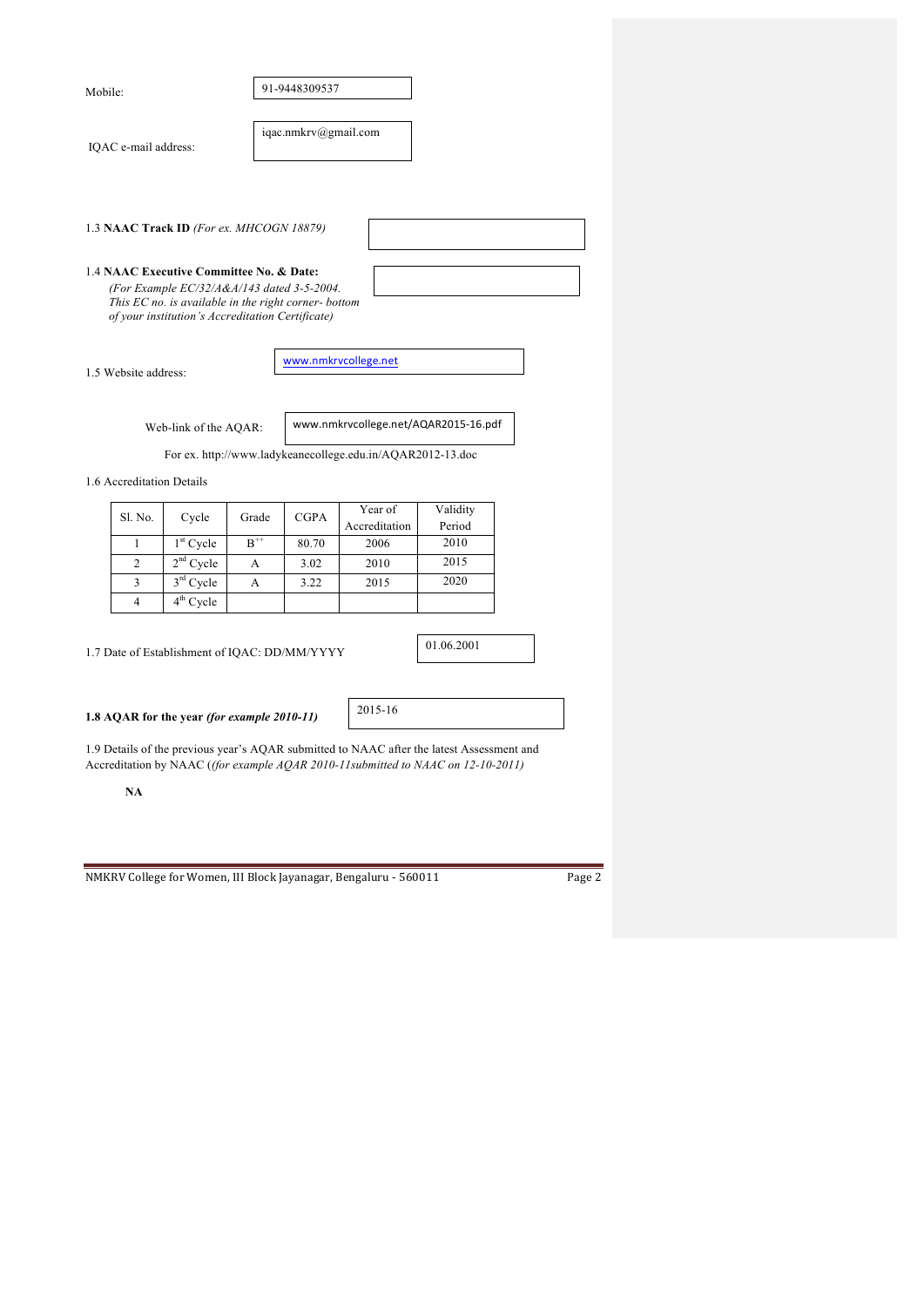| Mobile: |                      |                                                                                                                                                                                                    |       | 91-9448309537        |                                                                                                                                                                               |                    |  |
|---------|----------------------|----------------------------------------------------------------------------------------------------------------------------------------------------------------------------------------------------|-------|----------------------|-------------------------------------------------------------------------------------------------------------------------------------------------------------------------------|--------------------|--|
|         | IQAC e-mail address: |                                                                                                                                                                                                    |       | iqac.nmkrv@gmail.com |                                                                                                                                                                               |                    |  |
|         |                      |                                                                                                                                                                                                    |       |                      |                                                                                                                                                                               |                    |  |
|         |                      | 1.3 NAAC Track ID (For ex. MHCOGN 18879)                                                                                                                                                           |       |                      |                                                                                                                                                                               |                    |  |
|         |                      | 1.4 NAAC Executive Committee No. & Date:<br>(For Example EC/32/A&A/143 dated 3-5-2004.<br>This EC no. is available in the right corner- bottom<br>of your institution's Accreditation Certificate) |       |                      |                                                                                                                                                                               |                    |  |
|         | 1.5 Website address: |                                                                                                                                                                                                    |       |                      | www.nmkrvcollege.net                                                                                                                                                          |                    |  |
|         |                      | Web-link of the AQAR:                                                                                                                                                                              |       |                      | www.nmkrvcollege.net/AQAR2015-16.pdf                                                                                                                                          |                    |  |
|         |                      |                                                                                                                                                                                                    |       |                      | For ex. http://www.ladykeanecollege.edu.in/AQAR2012-13.doc                                                                                                                    |                    |  |
|         |                      | 1.6 Accreditation Details                                                                                                                                                                          |       |                      |                                                                                                                                                                               |                    |  |
|         | Sl. No.              | Cycle                                                                                                                                                                                              | Grade | <b>CGPA</b>          | Year of<br>Accreditation                                                                                                                                                      | Validity<br>Period |  |
|         | 1                    | 1 <sup>st</sup> Cycle                                                                                                                                                                              | $B^+$ | 80.70                | 2006                                                                                                                                                                          | 2010               |  |
|         | 2                    | $2nd$ Cycle                                                                                                                                                                                        | A     | 3.02                 | 2010                                                                                                                                                                          | 2015               |  |
|         | 3                    | 3rd Cycle                                                                                                                                                                                          | А     | 3.22                 | 2015                                                                                                                                                                          | 2020               |  |
|         | 4                    | $\overline{4^{th}}$ Cycle                                                                                                                                                                          |       |                      |                                                                                                                                                                               |                    |  |
|         |                      | 1.7 Date of Establishment of IQAC: DD/MM/YYYY                                                                                                                                                      |       |                      |                                                                                                                                                                               | 01.06.2001         |  |
|         |                      | 1.8 AQAR for the year (for example 2010-11)                                                                                                                                                        |       |                      | 2015-16                                                                                                                                                                       |                    |  |
|         |                      |                                                                                                                                                                                                    |       |                      | 1.9 Details of the previous year's AQAR submitted to NAAC after the latest Assessment and<br>Accreditation by NAAC ((for example AQAR 2010-11submitted to NAAC on 12-10-2011) |                    |  |
|         | NA                   |                                                                                                                                                                                                    |       |                      |                                                                                                                                                                               |                    |  |
|         |                      |                                                                                                                                                                                                    |       |                      |                                                                                                                                                                               |                    |  |
|         |                      |                                                                                                                                                                                                    |       |                      |                                                                                                                                                                               |                    |  |
|         |                      |                                                                                                                                                                                                    |       |                      |                                                                                                                                                                               |                    |  |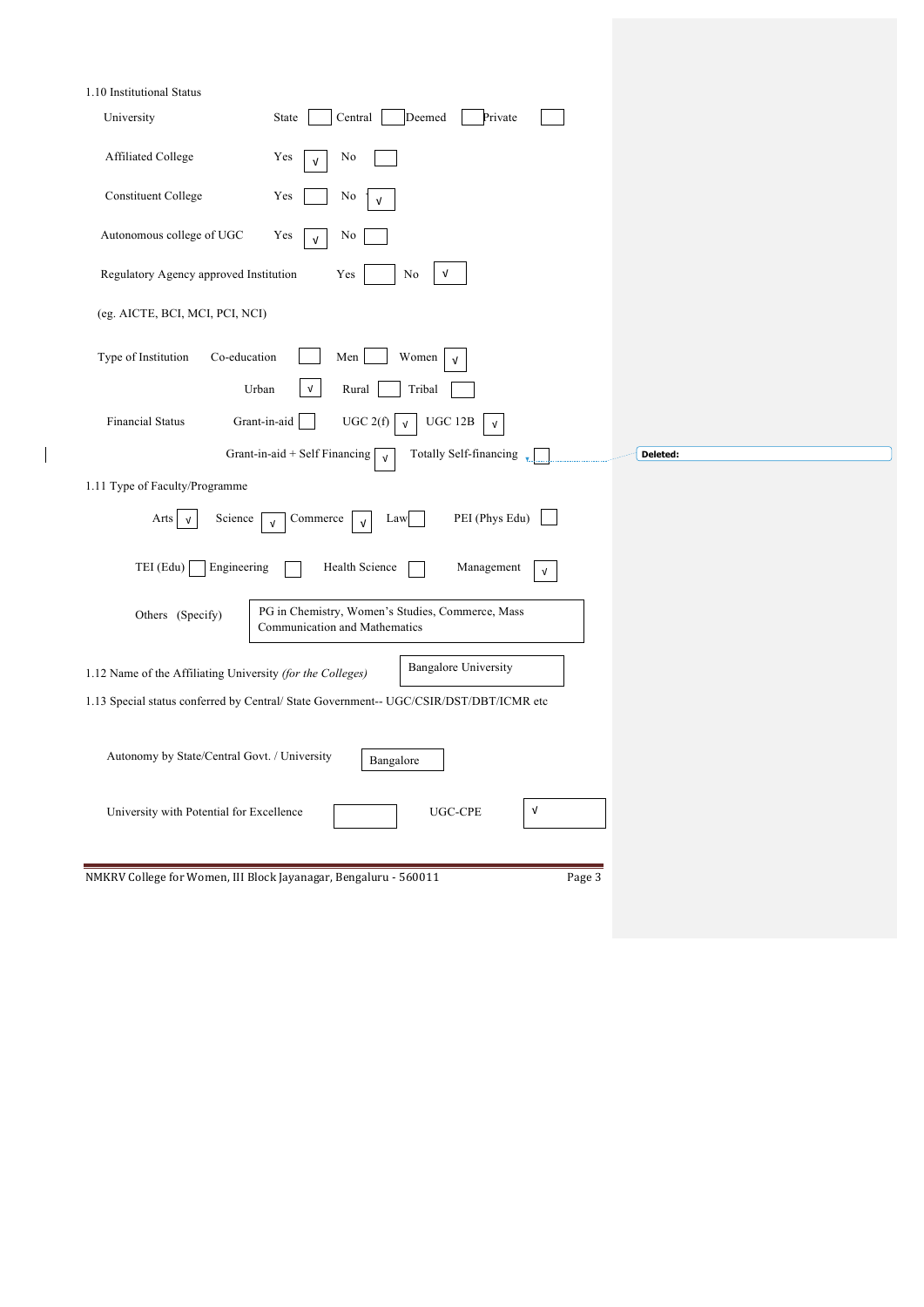| 1.10 Institutional Status                                                                                 |            |
|-----------------------------------------------------------------------------------------------------------|------------|
| $\mbox{Central}$<br>Deemed<br>Private<br>University<br>State                                              |            |
| Affiliated College<br>No<br>Yes<br>$\sqrt{ }$                                                             |            |
| <b>Constituent College</b><br>Yes<br>N <sub>0</sub><br>$\sqrt{ }$                                         |            |
| Autonomous college of UGC<br>Yes<br>No<br>$\sqrt{ }$                                                      |            |
| Regulatory Agency approved Institution<br>Yes<br>No<br>V                                                  |            |
| (eg. AICTE, BCI, MCI, PCI, NCI)                                                                           |            |
| Type of Institution<br>Co-education<br>Women<br>Men<br>$\sqrt{ }$                                         |            |
| $\mathsf{v}$<br>Urban<br>Rural<br>Tribal                                                                  |            |
| <b>Financial Status</b><br>UGC 2(f)<br>Grant-in-aid<br>UGC 12B<br>$\sqrt{ }$<br>$\ensuremath{\mathsf{V}}$ |            |
| Totally Self-financing<br>Grant-in-aid + Self Financing [<br>$\sqrt{ }$                                   | Deleted:   |
| 1.11 Type of Faculty/Programme                                                                            |            |
| PEI (Phys Edu)<br>Arts $\vert \sqrt{ } \vert$<br>Science<br>Commerce<br>Law<br>$\sqrt{ }$<br>$\sqrt{ }$   |            |
| TEI (Edu)<br>Engineering<br>Health Science<br>Management                                                  | $\sqrt{ }$ |
| PG in Chemistry, Women's Studies, Commerce, Mass<br>Others (Specify)<br>Communication and Mathematics     |            |
| <b>Bangalore University</b><br>1.12 Name of the Affiliating University (for the Colleges)                 |            |
| 1.13 Special status conferred by Central/ State Government-- UGC/CSIR/DST/DBT/ICMR etc                    |            |
| Autonomy by State/Central Govt. / University<br>Bangalore                                                 |            |
| University with Potential for Excellence<br>UGC-CPE                                                       | V          |
| NMKRV College for Women, III Block Jayanagar, Bengaluru - 560011                                          |            |
|                                                                                                           | Page 3     |

 $\begin{array}{c} \hline \end{array}$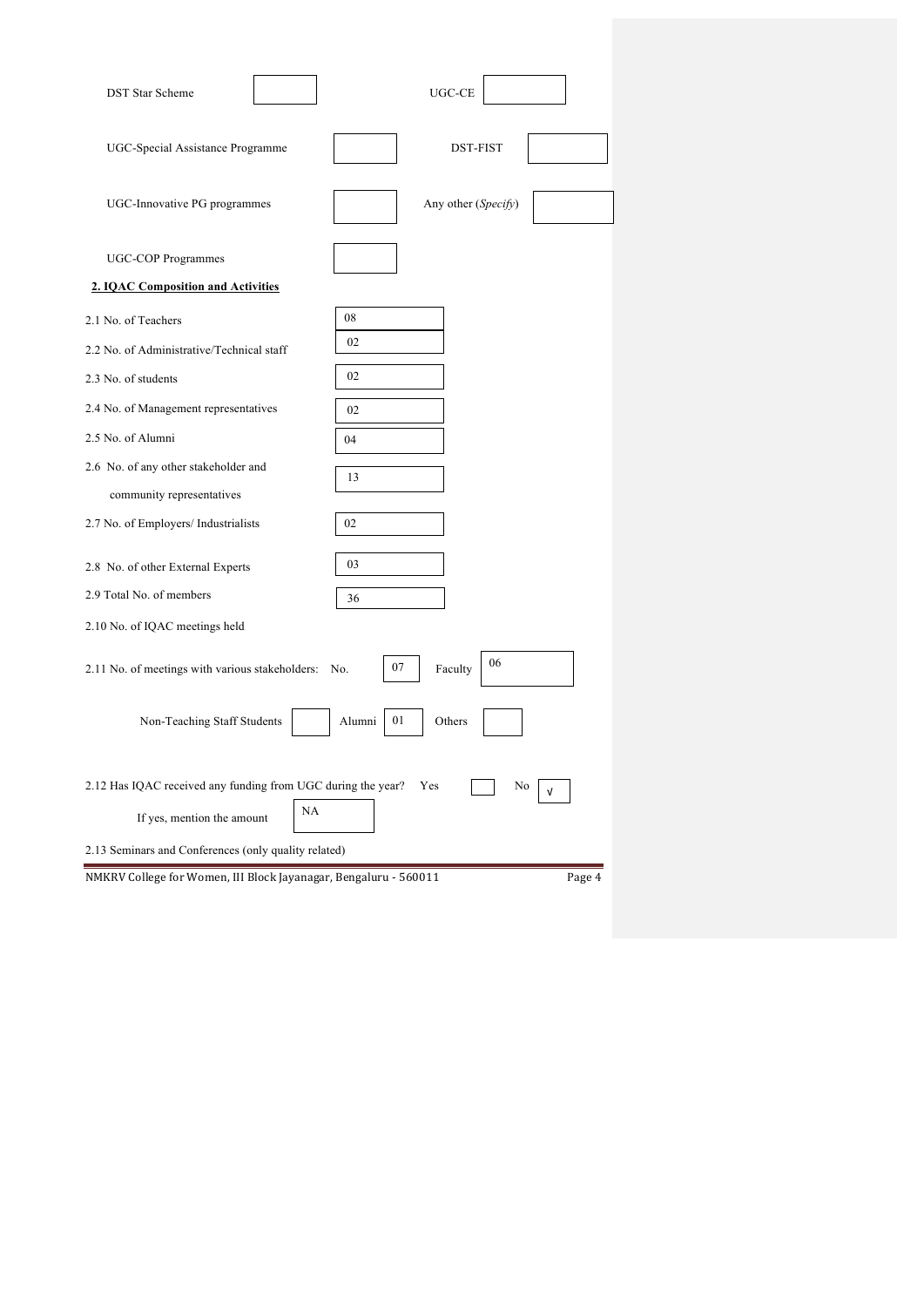| <b>DST Star Scheme</b>                                           | UGC-CE                     |
|------------------------------------------------------------------|----------------------------|
| UGC-Special Assistance Programme                                 | DST-FIST                   |
| UGC-Innovative PG programmes                                     | Any other (Specify)        |
| UGC-COP Programmes                                               |                            |
| 2. IQAC Composition and Activities                               |                            |
| 2.1 No. of Teachers                                              | 08                         |
| 2.2 No. of Administrative/Technical staff                        | 02                         |
| 2.3 No. of students                                              | 02                         |
| 2.4 No. of Management representatives                            | 02                         |
| 2.5 No. of Alumni                                                | 04                         |
| 2.6 No. of any other stakeholder and                             | 13                         |
| community representatives                                        |                            |
| 2.7 No. of Employers/ Industrialists                             | 02                         |
| 2.8 No. of other External Experts                                | 03                         |
| 2.9 Total No. of members                                         | 36                         |
| 2.10 No. of IQAC meetings held                                   |                            |
| 2.11 No. of meetings with various stakeholders:                  | 06<br>07<br>Faculty<br>No. |
| Non-Teaching Staff Students                                      | 01<br>Alumni<br>Others     |
| 2.12 Has IQAC received any funding from UGC during the year?     | Yes<br>No<br>ν             |
| NA<br>If yes, mention the amount                                 |                            |
| 2.13 Seminars and Conferences (only quality related)             |                            |
| NMKRV College for Women, III Block Jayanagar, Bengaluru - 560011 | Page 4                     |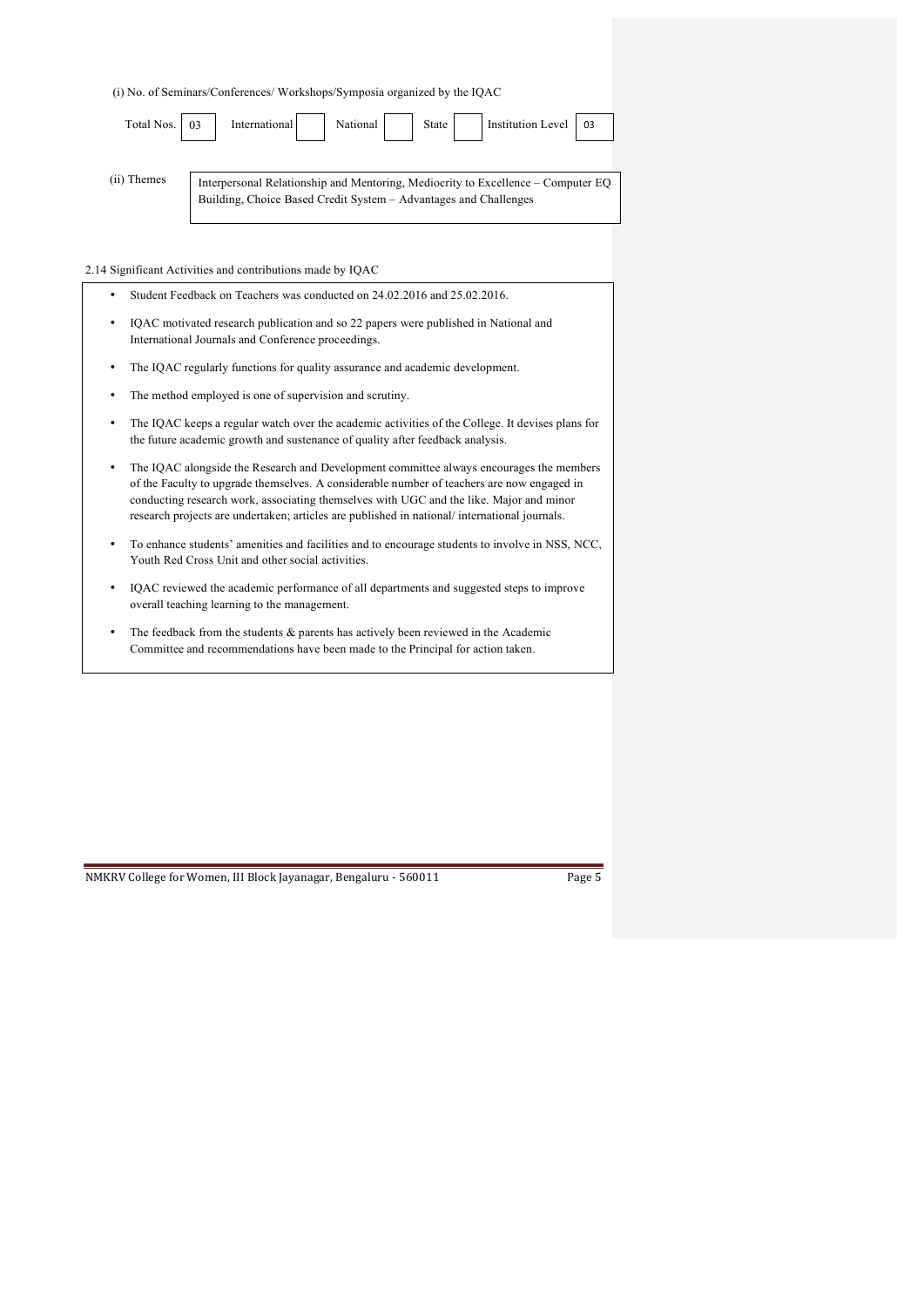(i) No. of Seminars/Conferences/ Workshops/Symposia organized by the IQAC

| Total Nos. 03 | National   State<br>Institution Level 03<br>International                                                                                            |
|---------------|------------------------------------------------------------------------------------------------------------------------------------------------------|
| (ii) Themes   | Interpersonal Relationship and Mentoring, Mediocrity to Excellence - Computer EQ<br>Building, Choice Based Credit System - Advantages and Challenges |

2.14 Significant Activities and contributions made by IQAC

| ٠ | Student Feedback on Teachers was conducted on 24.02.2016 and 25.02.2016.                                                                                                                                                                                                                                                                                                         |
|---|----------------------------------------------------------------------------------------------------------------------------------------------------------------------------------------------------------------------------------------------------------------------------------------------------------------------------------------------------------------------------------|
| ٠ | IQAC motivated research publication and so 22 papers were published in National and<br>International Journals and Conference proceedings.                                                                                                                                                                                                                                        |
| ٠ | The IQAC regularly functions for quality assurance and academic development.                                                                                                                                                                                                                                                                                                     |
| ٠ | The method employed is one of supervision and scrutiny.                                                                                                                                                                                                                                                                                                                          |
| ٠ | The IQAC keeps a regular watch over the academic activities of the College. It devises plans for<br>the future academic growth and sustenance of quality after feedback analysis.                                                                                                                                                                                                |
| ٠ | The IQAC alongside the Research and Development committee always encourages the members<br>of the Faculty to upgrade themselves. A considerable number of teachers are now engaged in<br>conducting research work, associating themselves with UGC and the like. Major and minor<br>research projects are undertaken; articles are published in national/international journals. |
| ٠ | To enhance students' amenities and facilities and to encourage students to involve in NSS, NCC,<br>Youth Red Cross Unit and other social activities.                                                                                                                                                                                                                             |
| ٠ | IQAC reviewed the academic performance of all departments and suggested steps to improve<br>overall teaching learning to the management.                                                                                                                                                                                                                                         |

• The feedback from the students & parents has actively been reviewed in the Academic Committee and recommendations have been made to the Principal for action taken.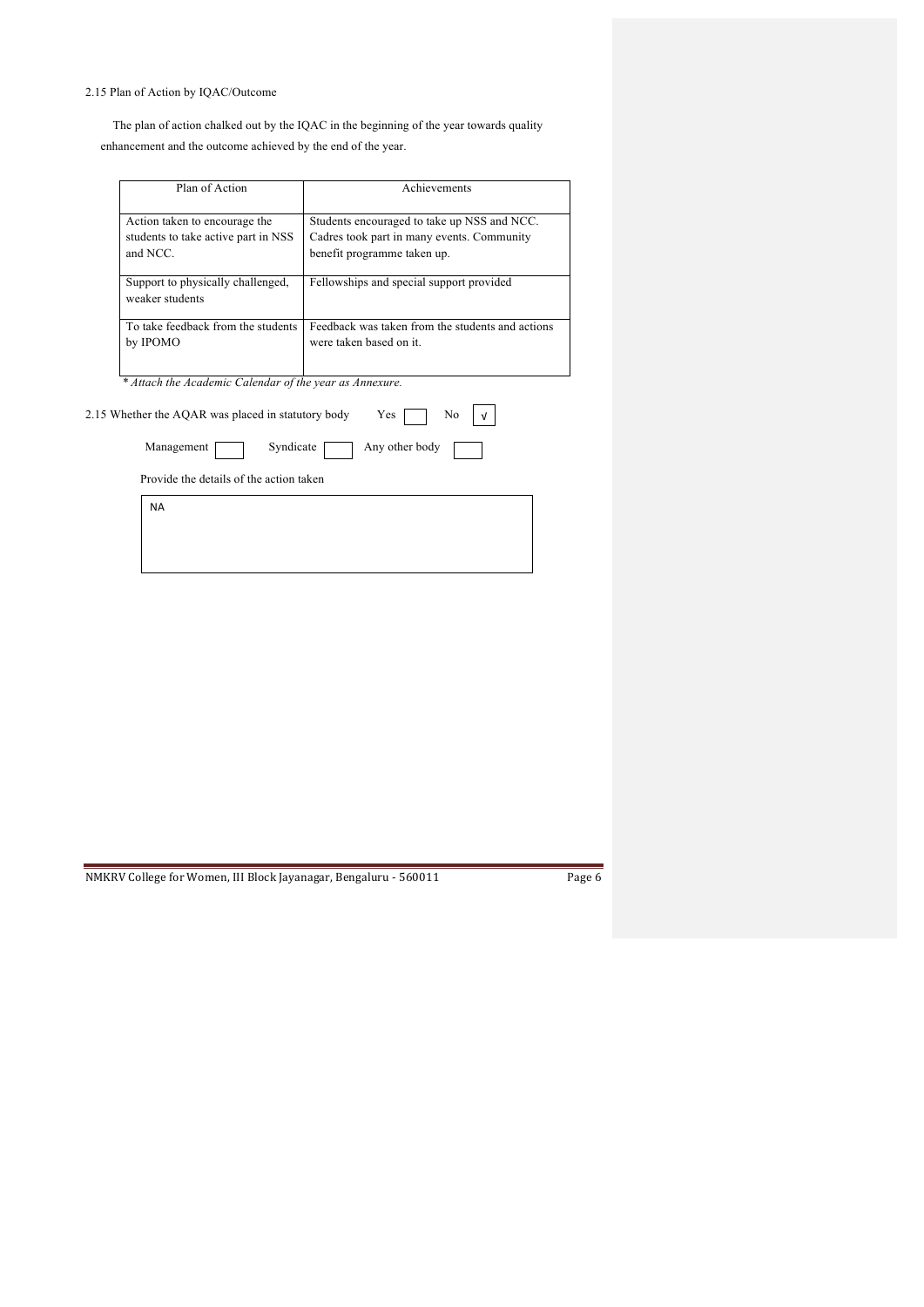# 2.15 Plan of Action by IQAC/Outcome

 The plan of action chalked out by the IQAC in the beginning of the year towards quality enhancement and the outcome achieved by the end of the year.

| Plan of Action                                                                   | Achievements                                                                                                             |  |  |  |
|----------------------------------------------------------------------------------|--------------------------------------------------------------------------------------------------------------------------|--|--|--|
| Action taken to encourage the<br>students to take active part in NSS<br>and NCC. | Students encouraged to take up NSS and NCC.<br>Cadres took part in many events. Community<br>benefit programme taken up. |  |  |  |
| Support to physically challenged,<br>weaker students                             | Fellowships and special support provided                                                                                 |  |  |  |
| To take feedback from the students<br>by IPOMO                                   | Feedback was taken from the students and actions<br>were taken based on it.                                              |  |  |  |
| * Attach the Academic Calendar of the year as Annexure.                          |                                                                                                                          |  |  |  |
| 2.15 Whether the AQAR was placed in statutory body                               | Yes<br>No                                                                                                                |  |  |  |
| Management<br>Syndicate                                                          | Any other body                                                                                                           |  |  |  |
| Provide the details of the action taken                                          |                                                                                                                          |  |  |  |
| <b>NA</b>                                                                        |                                                                                                                          |  |  |  |
|                                                                                  |                                                                                                                          |  |  |  |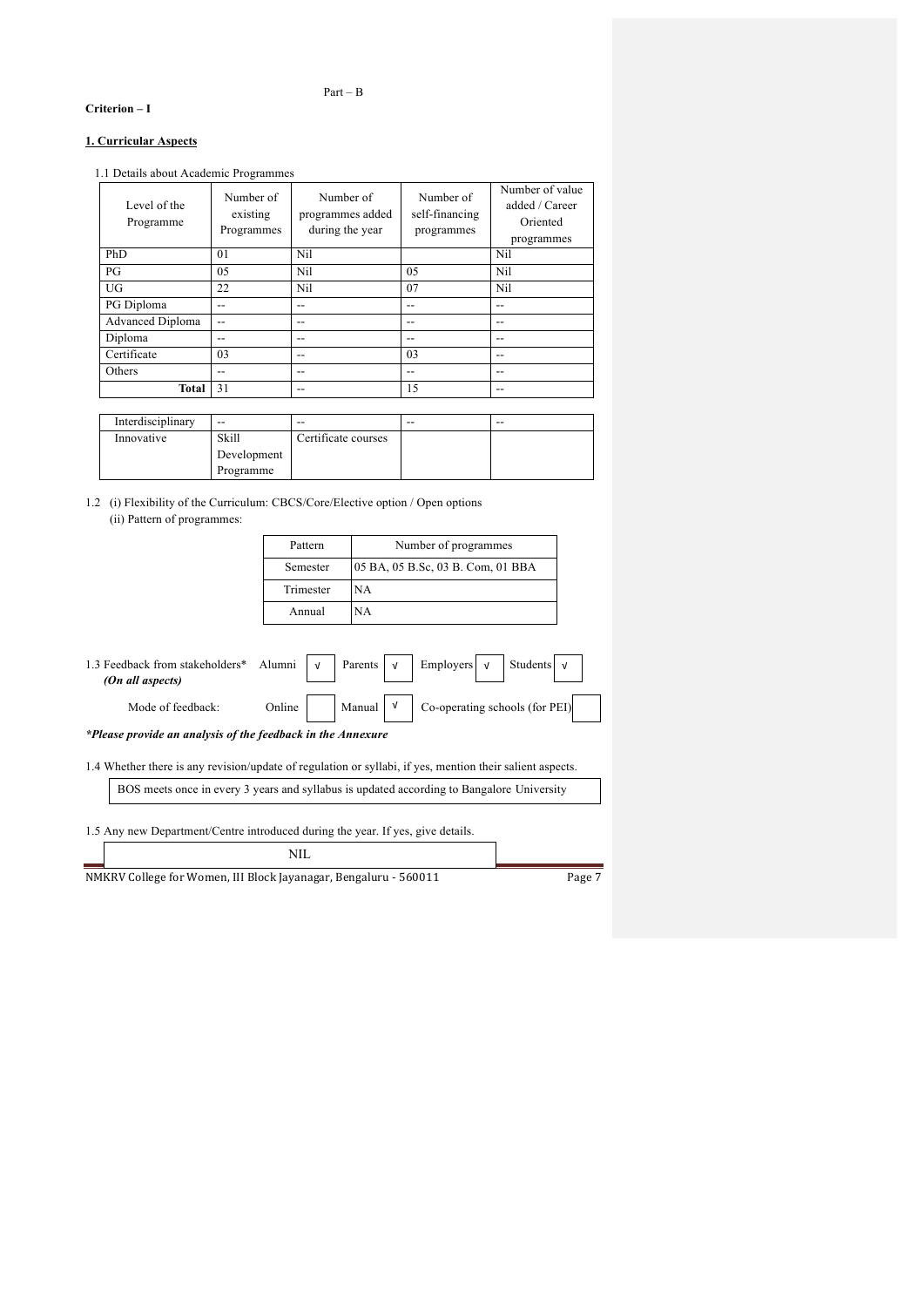## Part – B

## **Criterion – I**

## **1. Curricular Aspects**

1.1 Details about Academic Programmes

| Level of the<br>Programme | Number of<br>existing<br>Programmes | Number of<br>programmes added<br>during the year | Number of<br>self-financing<br>programmes | Number of value<br>added / Career<br>Oriented<br>programmes |
|---------------------------|-------------------------------------|--------------------------------------------------|-------------------------------------------|-------------------------------------------------------------|
| PhD                       | 01                                  | Nil                                              |                                           | Nil                                                         |
| PG                        | 05                                  | Nil                                              | 0.5                                       | Nil                                                         |
| UG                        | 22                                  | Nil                                              | 07                                        | Nil                                                         |
| PG Diploma                | --                                  | --                                               | --                                        | --                                                          |
| <b>Advanced Diploma</b>   | --                                  | $-$                                              | --                                        | $-$                                                         |
| Diploma                   | --                                  | $-$                                              | --                                        | --                                                          |
| Certificate               | 03                                  | $-$                                              | 03                                        | --                                                          |
| Others                    | --                                  | $-$                                              | --                                        | --                                                          |
| Total                     | 31                                  | $- -$                                            | 15                                        | $-$                                                         |

| Interdisciplinary | --          | $- -$               | $- -$ | $- -$ |
|-------------------|-------------|---------------------|-------|-------|
| Innovative        | Skill       | Certificate courses |       |       |
|                   | Development |                     |       |       |
|                   | Programme   |                     |       |       |

1.2 (i) Flexibility of the Curriculum: CBCS/Core/Elective option / Open options (ii) Pattern of programmes:

| Pattern   | Number of programmes              |
|-----------|-----------------------------------|
| Semester  | 05 BA, 05 B.Sc, 03 B. Com, 01 BBA |
| Trimester | NA                                |
| Annual    | NА                                |

|                                                                                           | 1.3 Feedback from stakeholders* Alumni $\vert \nu \vert$ Parents $\vert \nu \vert$ Employers $\vert \nu \vert$ Students $\vert \nu \vert$<br>(On all aspects) |  |  |  |  |  |  |                                                                                                                      |  |
|-------------------------------------------------------------------------------------------|---------------------------------------------------------------------------------------------------------------------------------------------------------------|--|--|--|--|--|--|----------------------------------------------------------------------------------------------------------------------|--|
|                                                                                           | Mode of feedback:                                                                                                                                             |  |  |  |  |  |  | Online $\Big \qquad\Big \text{ Manual } \Big \qquad\Big \qquad\text{Co-operating schools (for PEI)}\Big \qquad\Big $ |  |
|                                                                                           | *Please provide an analysis of the feedback in the Annexure                                                                                                   |  |  |  |  |  |  |                                                                                                                      |  |
|                                                                                           | 1.4 Whether there is any revision/update of regulation or syllabi, if yes, mention their salient aspects.                                                     |  |  |  |  |  |  |                                                                                                                      |  |
| BOS meets once in every 3 years and syllabus is updated according to Bangalore University |                                                                                                                                                               |  |  |  |  |  |  |                                                                                                                      |  |
|                                                                                           |                                                                                                                                                               |  |  |  |  |  |  |                                                                                                                      |  |

1.5 Any new Department/Centre introduced during the year. If yes, give details.

| NII                                                              |        |
|------------------------------------------------------------------|--------|
| NMKRV College for Women, III Block Jayanagar, Bengaluru - 560011 | Page 7 |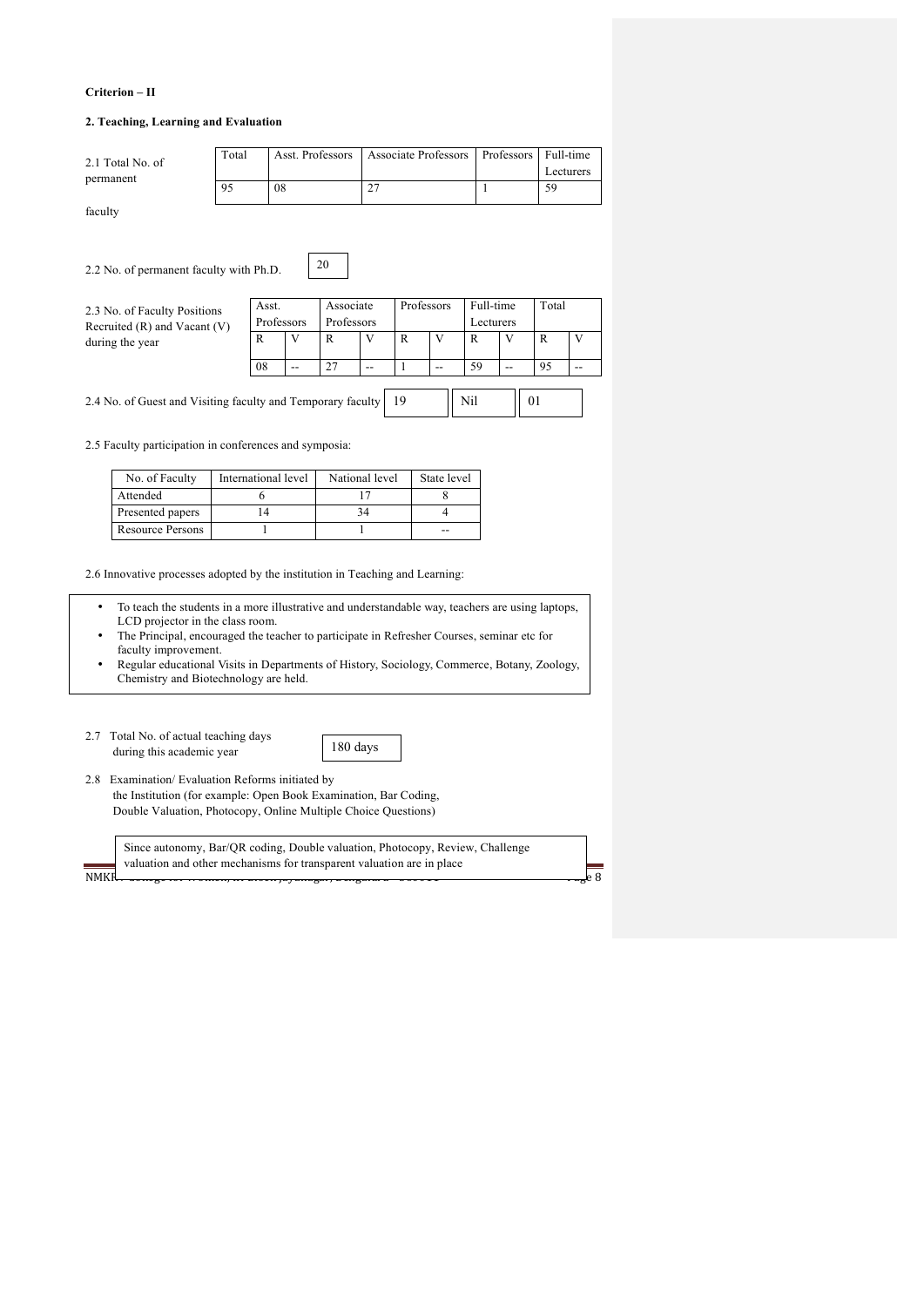## **Criterion – II**

### **2. Teaching, Learning and Evaluation**

|         | 2.1 Total No. of                                            | Total               | Asst. Professors |    |            |                |              | <b>Associate Professors</b> |                    | Professors |    | Full-time<br>Lecturers |
|---------|-------------------------------------------------------------|---------------------|------------------|----|------------|----------------|--------------|-----------------------------|--------------------|------------|----|------------------------|
|         | permanent                                                   |                     |                  | 08 |            | 27             |              |                             | 1                  |            | 59 |                        |
| faculty |                                                             |                     |                  |    |            |                |              |                             |                    |            |    |                        |
|         | 2.2 No. of permanent faculty with Ph.D.                     |                     |                  |    | 20         |                |              |                             |                    |            |    |                        |
|         | 2.3 No. of Faculty Positions                                |                     | Asst.            |    | Associate  |                | Professors   |                             | Full-time<br>Total |            |    |                        |
|         | Recruited $(R)$ and Vacant $(V)$                            |                     | Professors       |    | Professors |                |              |                             | Lecturers          |            |    |                        |
|         | during the year                                             |                     | R                | V  | R          | V              | R            | V                           | R                  | V          | R  | V                      |
|         |                                                             |                     | 08               | -- | 27         | --             | $\mathbf{1}$ | --                          | 59                 | --         | 95 | $- -$                  |
|         | 2.4 No. of Guest and Visiting faculty and Temporary faculty |                     |                  |    |            |                | 19           |                             | Nil                | 01         |    |                        |
|         | 2.5 Faculty participation in conferences and symposia:      |                     |                  |    |            |                |              |                             |                    |            |    |                        |
|         | No. of Faculty                                              | International level |                  |    |            | National level |              | State level                 |                    |            |    |                        |

2.6 Innovative processes adopted by the institution in Teaching and Learning:

Presented papers 14 14 34 4 Resource Persons 1 1 1 --

• To teach the students in a more illustrative and understandable way, teachers are using laptops, LCD projector in the class room.

6 17 8

- The Principal, encouraged the teacher to participate in Refresher Courses, seminar etc for faculty improvement.
- Regular educational Visits in Departments of History, Sociology, Commerce, Botany, Zoology, Chemistry and Biotechnology are held.
- 2.7 Total No. of actual teaching days during this academic year

Attended



2.8 Examination/ Evaluation Reforms initiated by the Institution (for example: Open Book Examination, Bar Coding, Double Valuation, Photocopy, Online Multiple Choice Questions)

|       | Since autonomy, Bar/QR coding, Double valuation, Photocopy, Review, Challenge |  |
|-------|-------------------------------------------------------------------------------|--|
|       | valuation and other mechanisms for transparent valuation are in place         |  |
| NMKI. | $\frac{1}{2}$                                                                 |  |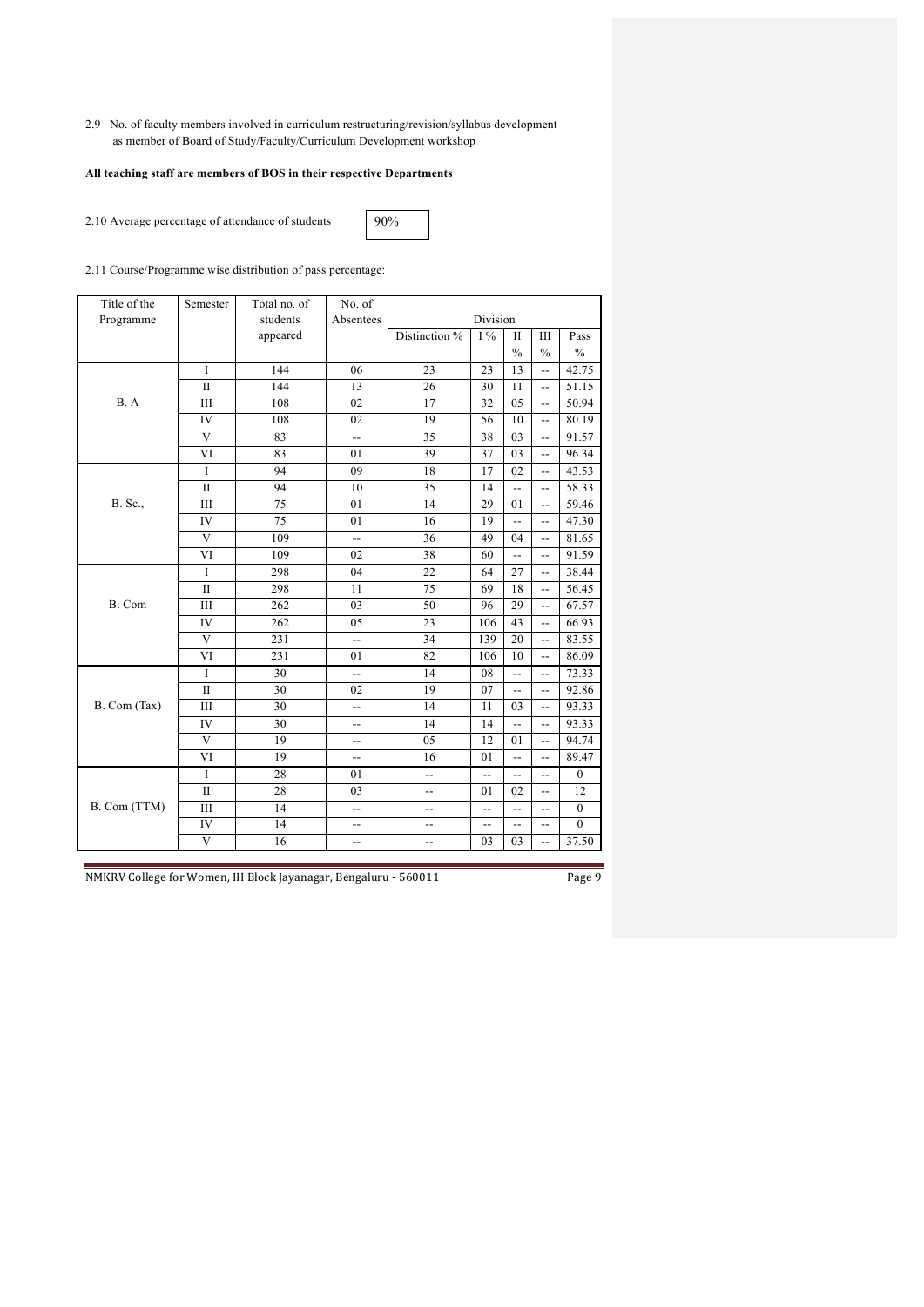2.9 No. of faculty members involved in curriculum restructuring/revision/syllabus development as member of Board of Study/Faculty/Curriculum Development workshop

## **All teaching staff are members of BOS in their respective Departments**

2.10 Average percentage of attendance of students

90%

2.11 Course/Programme wise distribution of pass percentage:

| Title of the | Semester     | Total no. of | No. of                   |                          |                          |                          |                          |                  |
|--------------|--------------|--------------|--------------------------|--------------------------|--------------------------|--------------------------|--------------------------|------------------|
| Programme    |              | students     | Absentees                |                          | Division                 |                          |                          |                  |
|              |              | appeared     |                          | Distinction %            | $I\%$                    | П                        | Ш                        | Pass             |
|              |              |              |                          |                          |                          | $\frac{0}{0}$            | $\frac{0}{0}$            | $\frac{0}{0}$    |
|              | $\mathbf{I}$ | 144          | 06                       | 23                       | 23                       | 13                       | $-$                      | 42.75            |
|              | П            | 144          | 13                       | 26                       | 30                       | 11                       | --                       | 51.15            |
| B. A         | Ш            | 108          | 02                       | 17                       | 32                       | 05                       | $\overline{\phantom{a}}$ | 50.94            |
|              | IV           | 108          | 02                       | 19                       | 56                       | 10                       | $\overline{\phantom{a}}$ | 80.19            |
|              | V            | 83           | $\overline{\phantom{a}}$ | 35                       | 38                       | 03                       | --                       | 91.57            |
|              | VI           | 83           | 01                       | 39                       | 37                       | 03                       | --                       | 96.34            |
|              | $\bf{I}$     | 94           | 09                       | 18                       | 17                       | 02                       | $\overline{\phantom{a}}$ | 43.53            |
|              | $\mathbf{I}$ | 94           | 10                       | 35                       | 14                       | $\overline{\phantom{a}}$ | $\overline{\phantom{a}}$ | 58.33            |
| B. Sc.,      | Ш            | 75           | 01                       | 14                       | 29                       | 01                       | $-$                      | 59.46            |
|              | IV           | 75           | 01                       | 16                       | 19                       | $-$                      | $-$                      | 47.30            |
|              | V            | 109          | $\overline{\phantom{a}}$ | 36                       | 49                       | 04                       | --                       | 81.65            |
|              | VI           | 109          | 02                       | 38                       | 60                       | $\overline{a}$           | $-$                      | 91.59            |
|              | $\rm I$      | 298          | 04                       | 22                       | 64                       | 27                       | $-$                      | 38.44            |
|              | $\mathbf{I}$ | 298          | 11                       | 75                       | 69                       | 18                       | $\overline{\phantom{a}}$ | 56.45            |
| B. Com       | Ш            | 262          | 03                       | 50                       | 96                       | 29                       | $\overline{\phantom{a}}$ | 67.57            |
|              | IV           | 262          | 05                       | 23                       | 106                      | 43                       | $\overline{\phantom{a}}$ | 66.93            |
|              | V            | 231          | $-$                      | 34                       | 139                      | 20                       | $-$                      | 83.55            |
|              | VI           | 231          | 01                       | 82                       | 106                      | 10                       | --                       | 86.09            |
|              | $\rm I$      | 30           | $\overline{a}$           | 14                       | 08                       | $\overline{a}$           | $\overline{\phantom{a}}$ | 73.33            |
|              | $_{\rm II}$  | 30           | 02                       | 19                       | 07                       | $\overline{\phantom{a}}$ | $\overline{\phantom{a}}$ | 92.86            |
| B. Com (Tax) | Ш            | 30           | --                       | 14                       | 11                       | 03                       | $-$                      | 93.33            |
|              | IV           | 30           | --                       | 14                       | 14                       | $\overline{\phantom{a}}$ | --                       | 93.33            |
|              | V            | 19           | --                       | 05                       | 12                       | 01                       | $\overline{\phantom{a}}$ | 94.74            |
|              | VI           | 19           | $\overline{\phantom{a}}$ | 16                       | 01                       | u.                       | -−                       | 89.47            |
|              | $\bf I$      | 28           | 01                       | --                       | --                       | --                       | $-$                      | $\mathbf{0}$     |
|              | $\mathbf{I}$ | 28           | 03                       | --                       | 01                       | 02                       | --                       | 12               |
| B. Com (TTM) | Ш            | 14           | $-$                      | $\overline{\phantom{a}}$ | $\overline{a}$           | $-$                      | $-$                      | $\boldsymbol{0}$ |
|              | IV           | 14           | $\overline{\phantom{a}}$ | --                       | $\overline{\phantom{a}}$ | $\overline{a}$           | --                       | $\mathbf{0}$     |
|              | $\mathbf{V}$ | 16           | --                       | --                       | 03                       | 03                       | $-$                      | 37.50            |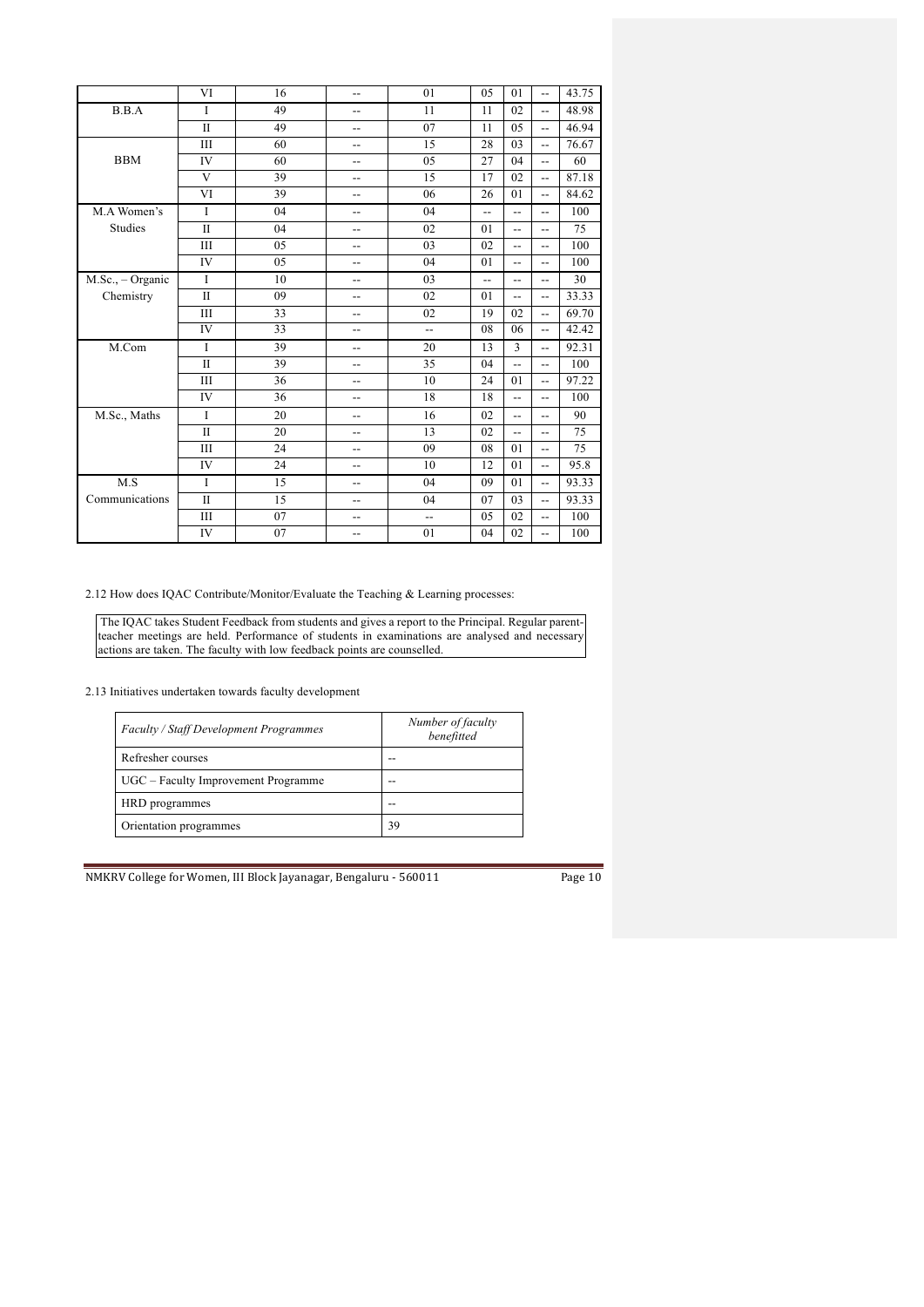|                    | VI           | 16 | $\overline{a}$ | 01                       | 05             | 01                       | $-$                      | 43.75 |
|--------------------|--------------|----|----------------|--------------------------|----------------|--------------------------|--------------------------|-------|
| B.B.A              | $\mathbf I$  | 49 | --             | 11                       | 11             | 02                       | $-$                      | 48.98 |
|                    | $\mathbf{I}$ | 49 | --             | 07                       | 11             | 05                       | $-$                      | 46.94 |
|                    | Ш            | 60 | --             | 15                       | 28             | 03                       | $\overline{\phantom{a}}$ | 76.67 |
| <b>BBM</b>         | IV           | 60 | --             | 05                       | 27             | 04                       | $\overline{\phantom{a}}$ | 60    |
|                    | V            | 39 | --             | 15                       | 17             | 02                       | $-$                      | 87.18 |
|                    | VI           | 39 | $-$            | 06                       | 26             | 01                       | $-$                      | 84.62 |
| M.A Women's        | I            | 04 | --             | 04                       | $-$            | $\overline{\phantom{a}}$ | $\overline{\phantom{a}}$ | 100   |
| Studies            | $\mathbf{I}$ | 04 | --             | 02                       | 01             | $\overline{\phantom{a}}$ | --                       | 75    |
|                    | Ш            | 05 | --             | 03                       | 02             | $\overline{\phantom{a}}$ | $\overline{\phantom{a}}$ | 100   |
|                    | IV           | 05 | --             | 04                       | 01             | $\overline{a}$           | $-$                      | 100   |
| $M.Sc.,$ - Organic | $\bf{I}$     | 10 | --             | 03                       | $\overline{a}$ | $-$                      | $-1$                     | 30    |
| Chemistry          | $\mathbf{I}$ | 09 | --             | 02                       | 01             | $\overline{a}$           | $\overline{\phantom{a}}$ | 33.33 |
|                    | Ш            | 33 | $-$            | 02                       | 19             | 02                       | $\overline{\phantom{a}}$ | 69.70 |
|                    | IV           | 33 | --             | $-$                      | 08             | 06                       | $\overline{\phantom{a}}$ | 42.42 |
| M.Com              | I            | 39 | --             | 20                       | 13             | $\overline{3}$           | $\overline{\phantom{a}}$ | 92.31 |
|                    | $\mathbf{I}$ | 39 | --             | 35                       | 04             | $-$                      | --                       | 100   |
|                    | Ш            | 36 | --             | 10                       | 24             | 01                       | $\overline{\phantom{a}}$ | 97.22 |
|                    | IV           | 36 | --             | 18                       | 18             | $-$                      | $-$                      | 100   |
| M.Sc., Maths       | $\mathbf I$  | 20 | --             | 16                       | 02             | $\overline{\phantom{a}}$ | $\overline{\phantom{a}}$ | 90    |
|                    | $\mathbf{I}$ | 20 | --             | 13                       | 02             | $-$                      | --                       | 75    |
|                    | Ш            | 24 | --             | 09                       | 08             | 01                       | $\overline{\phantom{a}}$ | 75    |
|                    | IV           | 24 | $-$            | 10                       | 12             | 01                       | $\overline{\phantom{a}}$ | 95.8  |
| $\rm M.S$          | $\mathbf I$  | 15 | $-$            | 04                       | 09             | 01                       | $-$                      | 93.33 |
| Communications     | $\mathbf{I}$ | 15 | --             | 04                       | 07             | 03                       | --                       | 93.33 |
|                    | Ш            | 07 | --             | $\overline{\phantom{a}}$ | 05             | 02                       | $\overline{\phantom{a}}$ | 100   |
|                    | IV           | 07 | --             | 01                       | 04             | 02                       | $-$                      | 100   |

2.12 How does IQAC Contribute/Monitor/Evaluate the Teaching & Learning processes:

The IQAC takes Student Feedback from students and gives a report to the Principal. Regular parentteacher meetings are held. Performance of students in examinations are analysed and necessary actions are taken. The faculty with low feedback points are counselled.

2.13 Initiatives undertaken towards faculty development

| <b>Faculty / Staff Development Programmes</b> | Number of faculty<br>benefitted |
|-----------------------------------------------|---------------------------------|
| Refresher courses                             |                                 |
| UGC – Faculty Improvement Programme           |                                 |
| HRD programmes                                |                                 |
| Orientation programmes                        | 39                              |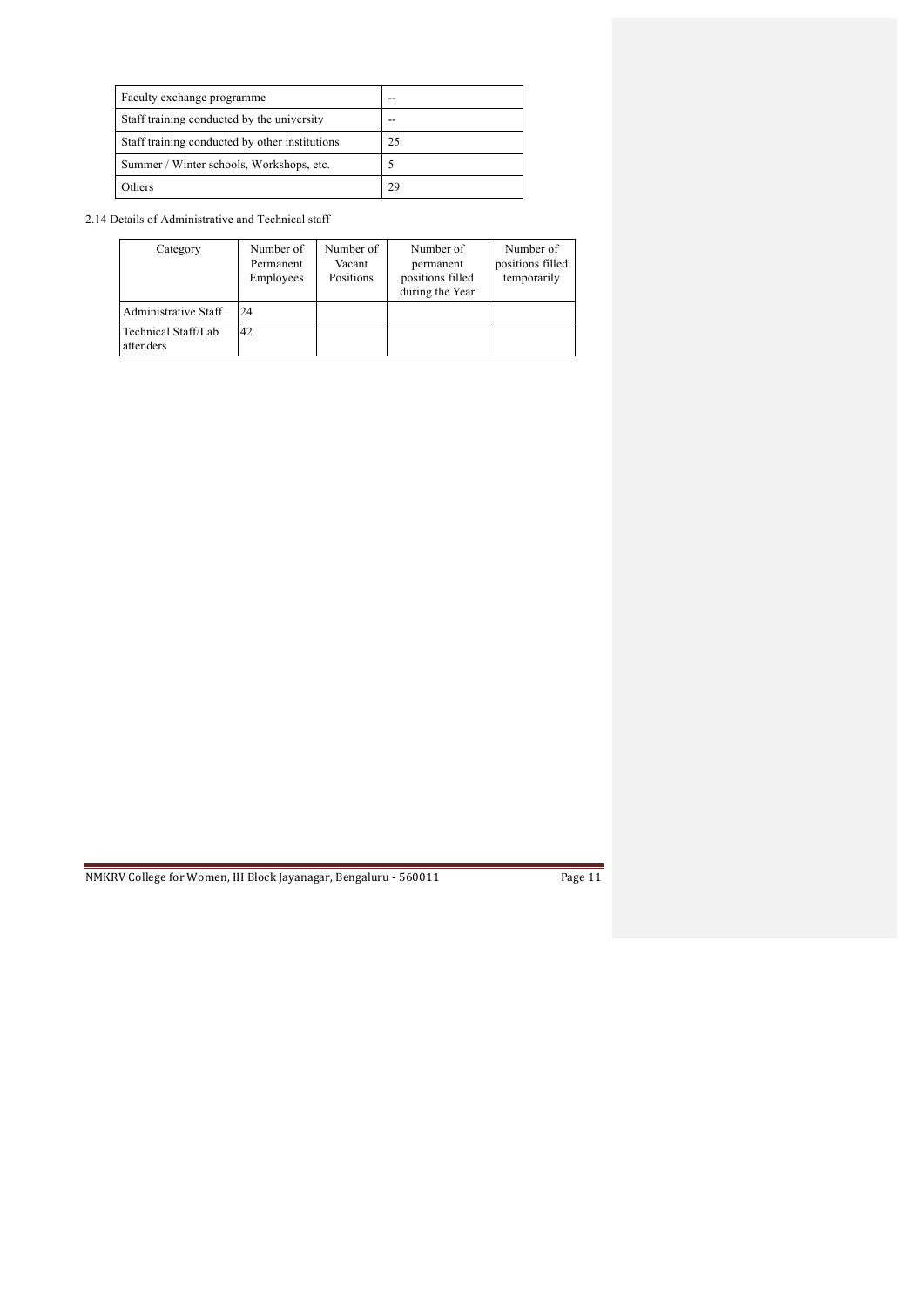| Faculty exchange programme                     | -- |
|------------------------------------------------|----|
| Staff training conducted by the university     |    |
| Staff training conducted by other institutions | 25 |
| Summer / Winter schools, Workshops, etc.       |    |
| Others                                         | 29 |

2.14 Details of Administrative and Technical staff

| Category                         | Number of<br>Permanent<br>Employees | Number of<br>Vacant<br>Positions | Number of<br>permanent<br>positions filled<br>during the Year | Number of<br>positions filled<br>temporarily |
|----------------------------------|-------------------------------------|----------------------------------|---------------------------------------------------------------|----------------------------------------------|
| Administrative Staff             | 24                                  |                                  |                                                               |                                              |
| Fechnical Staff/Lab<br>attenders | 42                                  |                                  |                                                               |                                              |

| r: |  |
|----|--|
|    |  |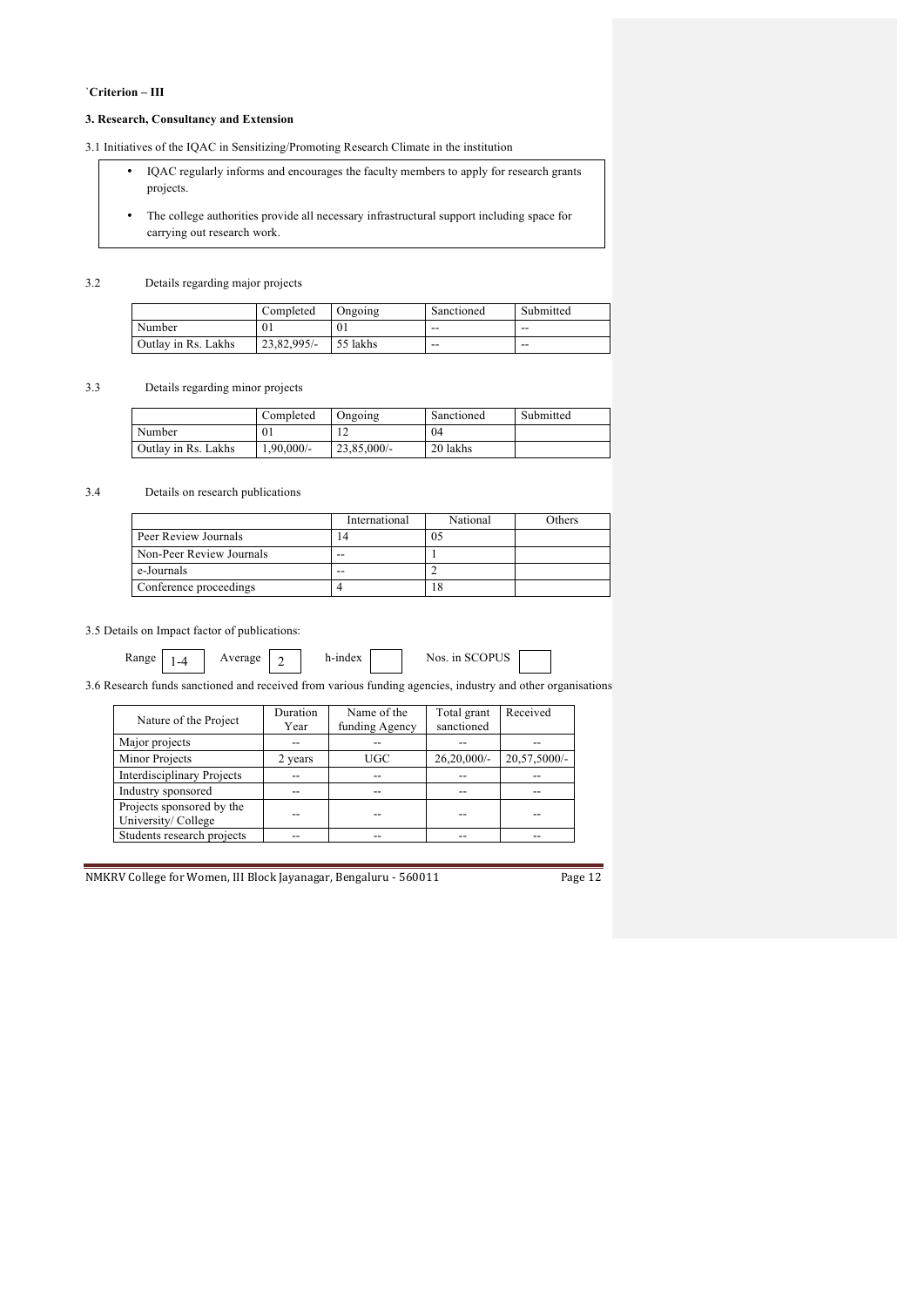## `**Criterion – III**

## **3. Research, Consultancy and Extension**

3.1 Initiatives of the IQAC in Sensitizing/Promoting Research Climate in the institution

- IQAC regularly informs and encourages the faculty members to apply for research grants projects.
- The college authorities provide all necessary infrastructural support including space for carrying out research work.

### 3.2 Details regarding major projects

|                     | Completed   | Ongoing  | Sanctioned | Submitted |
|---------------------|-------------|----------|------------|-----------|
| Number              | 01          | $_{01}$  | $- -$      | --        |
| Outlay in Rs. Lakhs | 23.82.995/- | 55 lakhs | $- -$      | --        |

## 3.3 Details regarding minor projects

|                     | Completed    | Ongoing        | Sanctioned | Submitted |
|---------------------|--------------|----------------|------------|-----------|
| Number              |              |                | 04         |           |
| Outlay in Rs. Lakhs | $1,90,000/-$ | $23,85,000/$ - | 20 lakhs   |           |

## 3.4 Details on research publications

|                          | International | National | Others |
|--------------------------|---------------|----------|--------|
| Peer Review Journals     | 14            |          |        |
| Non-Peer Review Journals | $ -$          |          |        |
| e-Journals               | --            |          |        |
| Conference proceedings   |               | 18       |        |

## 3.5 Details on Impact factor of publications:

| Rar<br>e |  |
|----------|--|

# Average  $\boxed{2}$

h-index Nos. in SCOPUS

3.6 Research funds sanctioned and received from various funding agencies, industry and other organisations

| Nature of the Project                           | Duration | Name of the    | Total grant    | Received     |
|-------------------------------------------------|----------|----------------|----------------|--------------|
|                                                 | Year     | funding Agency | sanctioned     |              |
| Major projects                                  | --       | --             |                |              |
| <b>Minor Projects</b>                           | 2 years  | <b>UGC</b>     | $26,20,000/$ - | 20,57,5000/- |
| <b>Interdisciplinary Projects</b>               |          | --             |                |              |
| Industry sponsored                              |          | --             | --             |              |
| Projects sponsored by the<br>University/College |          |                |                |              |
| Students research projects                      |          |                |                |              |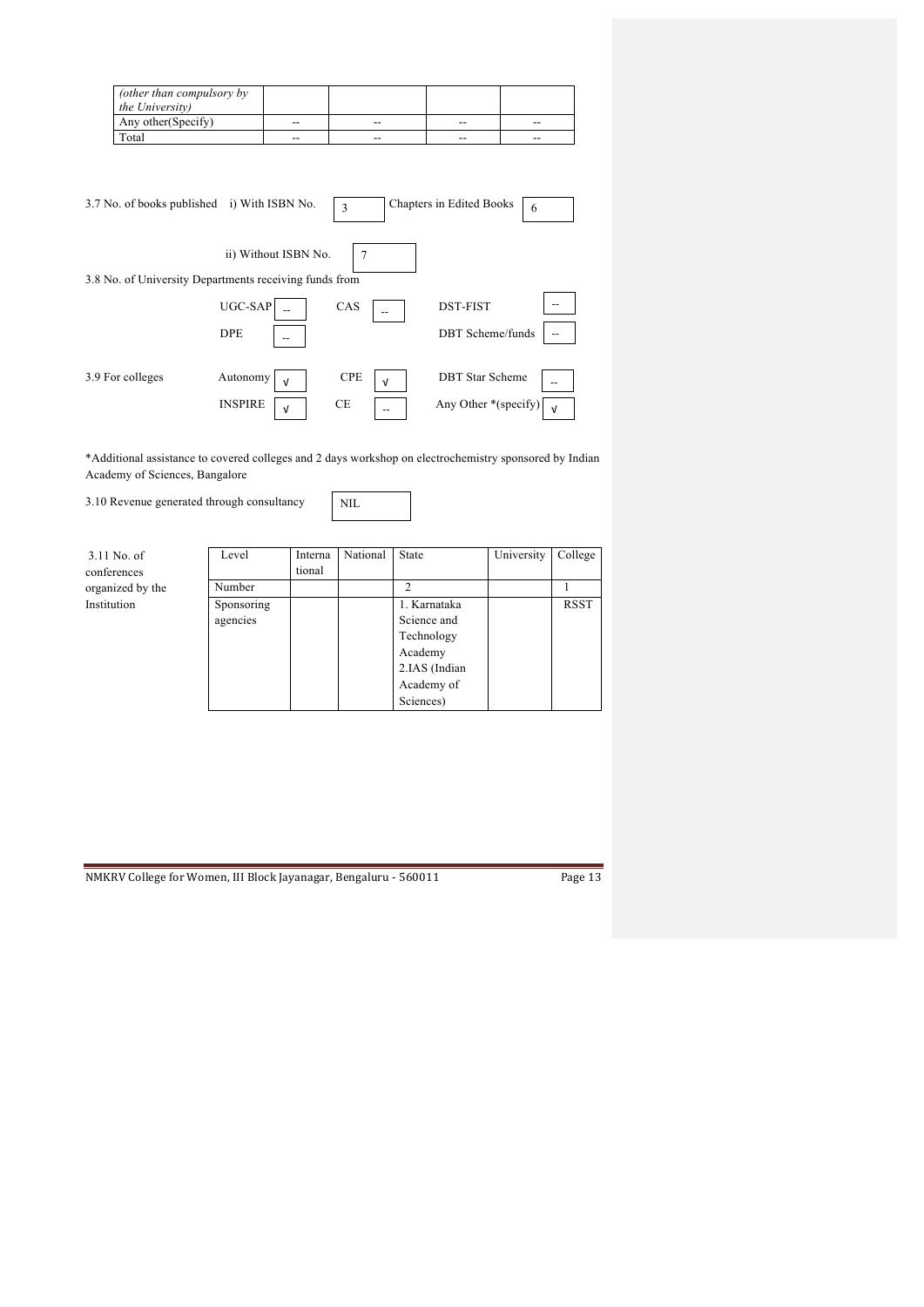| (other than compulsory by<br><i>the University</i> ) |       |       |       |    |
|------------------------------------------------------|-------|-------|-------|----|
| Any other (Specify)                                  | $- -$ | $- -$ | $- -$ | -- |
| Total                                                | $- -$ | $- -$ | $- -$ | -- |

| 3.7 No. of books published i) With ISBN No.            |                              | 3               | Chapters in Edited Books<br>6 |  |
|--------------------------------------------------------|------------------------------|-----------------|-------------------------------|--|
| 3.8 No. of University Departments receiving funds from | ii) Without ISBN No.         |                 |                               |  |
|                                                        | UGC-SAP                      | CAS             | <b>DST-FIST</b><br>--         |  |
|                                                        | <b>DPE</b>                   |                 | <b>DBT</b> Scheme/funds       |  |
| 3.9 For colleges                                       | Autonomy<br>$\sqrt{ }$       | <b>CPE</b><br>ν | <b>DBT</b> Star Scheme        |  |
|                                                        | <b>INSPIRE</b><br>$\sqrt{ }$ | <b>CE</b><br>-- | Any Other *(specify)          |  |

\*Additional assistance to covered colleges and 2 days workshop on electrochemistry sponsored by Indian Academy of Sciences, Bangalore

3.10 Revenue generated through consultancy

| × |
|---|
|---|

3.11 No. of conferences organized by the Institution

| Level      | Interna<br>tional | National | State         | University | College |
|------------|-------------------|----------|---------------|------------|---------|
| Number     |                   |          | $\mathcal{L}$ |            |         |
| Sponsoring |                   |          | 1. Karnataka  |            | RSST    |
| agencies   |                   |          | Science and   |            |         |
|            |                   |          | Technology    |            |         |
|            |                   |          | Academy       |            |         |
|            |                   |          | 2.IAS (Indian |            |         |
|            |                   |          | Academy of    |            |         |
|            |                   |          | Sciences)     |            |         |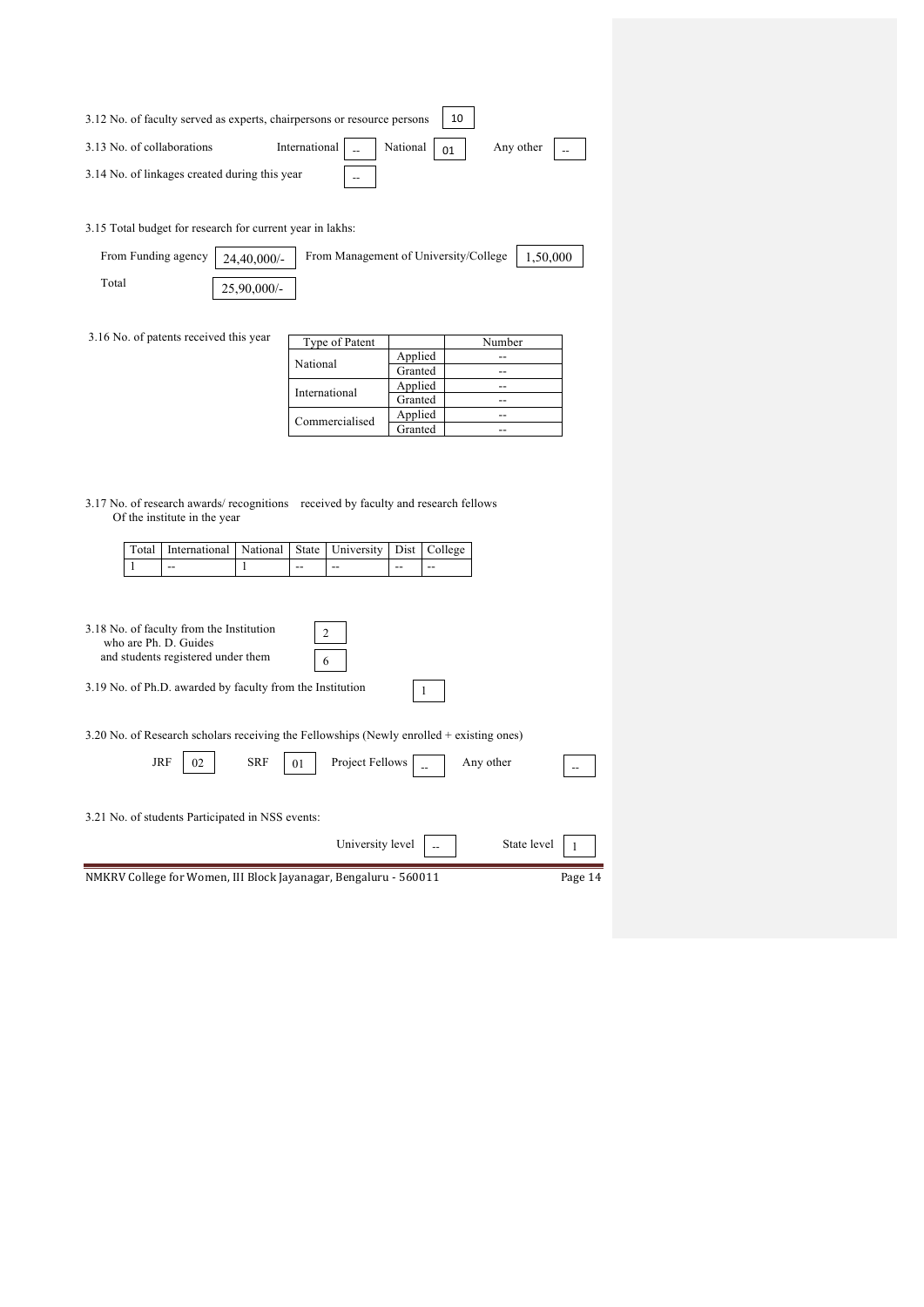| 3.12 No. of faculty served as experts, chairpersons or resource persons | 10                                                                |       |  |  |           |  |
|-------------------------------------------------------------------------|-------------------------------------------------------------------|-------|--|--|-----------|--|
| 3.13 No. of collaborations                                              | International $\vert$ $\vert$ $\vert$ National $\vert$ 01 $\vert$ |       |  |  | Any other |  |
| 3.14 No. of linkages created during this year                           |                                                                   | $- -$ |  |  |           |  |

3.15 Total budget for research for current year in lakhs:

| From Funding agency $\vert$ 24,40,000/- |             | From Management of University/College   1,50,000 |  |
|-----------------------------------------|-------------|--------------------------------------------------|--|
| Total                                   | 25,90,000/- |                                                  |  |

3.16 No. of patents received this year

| Type of Patent |         | Number |
|----------------|---------|--------|
| National       | Applied |        |
|                | Granted |        |
| International  | Applied |        |
|                | Granted |        |
| Commercialised | Applied |        |
|                | Granted |        |

3.17 No. of research awards/ recognitions received by faculty and research fellows Of the institute in the year

| Total | International                                                                                           | National   | State | University       | Dist | College |             |         |
|-------|---------------------------------------------------------------------------------------------------------|------------|-------|------------------|------|---------|-------------|---------|
| 1     | --                                                                                                      | 1          | --    | --               | --   | $- -$   |             |         |
|       | 3.18 No. of faculty from the Institution<br>who are Ph. D. Guides<br>and students registered under them |            | 6     | 2                |      |         |             |         |
|       | 3.19 No. of Ph.D. awarded by faculty from the Institution                                               |            |       |                  |      |         |             |         |
|       | 3.20 No. of Research scholars receiving the Fellowships (Newly enrolled + existing ones)                |            |       |                  |      |         |             |         |
| JRF   | 02                                                                                                      | <b>SRF</b> | 01    | Project Fellows  |      |         | Any other   |         |
|       | 3.21 No. of students Participated in NSS events:                                                        |            |       |                  |      |         |             |         |
|       |                                                                                                         |            |       | University level |      |         | State level |         |
|       | NMKRV College for Women, III Block Jayanagar, Bengaluru - 560011                                        |            |       |                  |      |         |             | Page 14 |
|       |                                                                                                         |            |       |                  |      |         |             |         |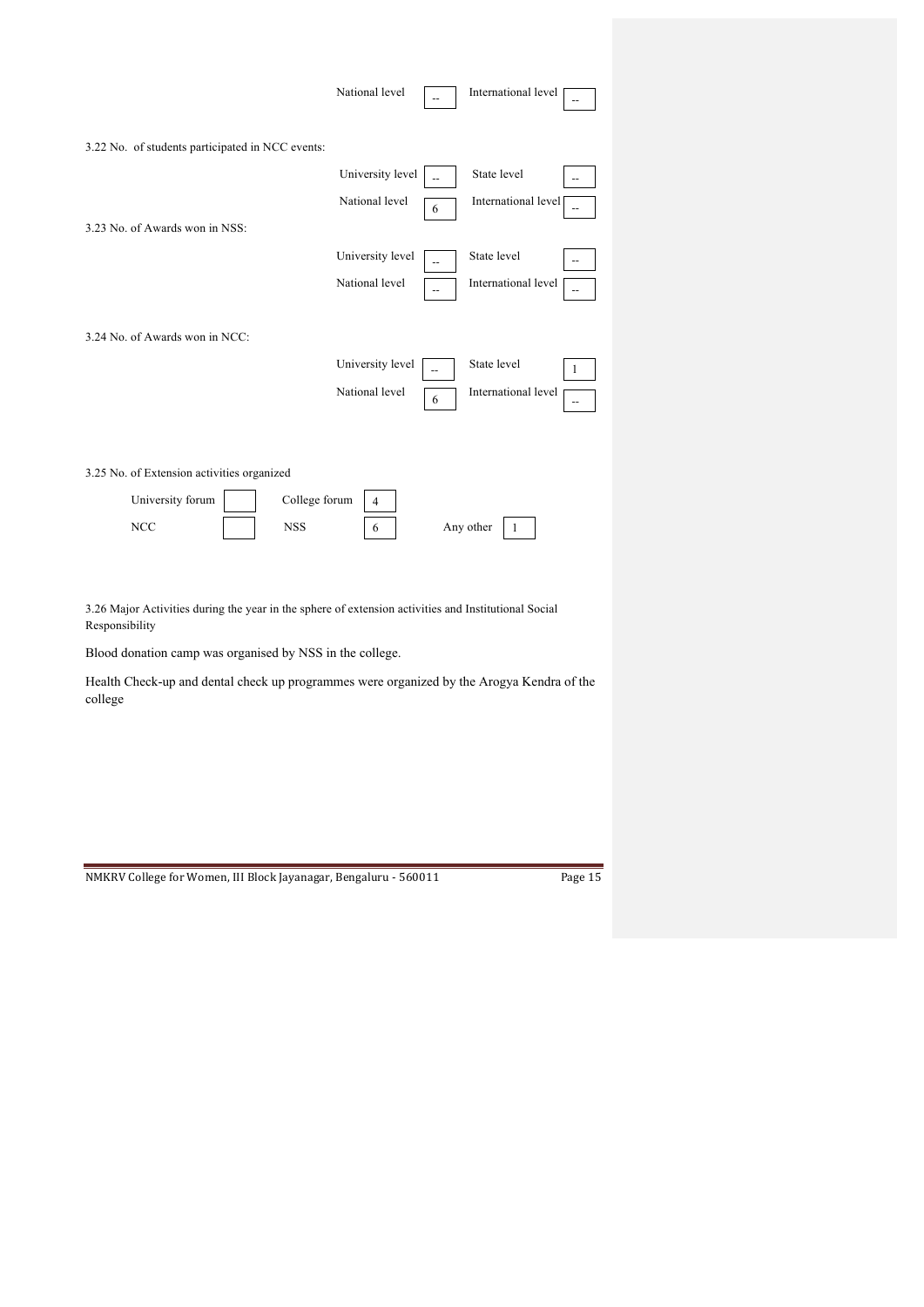|                                                  | National level   |                | International level                             |
|--------------------------------------------------|------------------|----------------|-------------------------------------------------|
| 3.22 No. of students participated in NCC events: |                  |                |                                                 |
|                                                  | University level |                | State level                                     |
|                                                  | National level   | 6              | International level                             |
| 3.23 No. of Awards won in NSS:                   |                  |                |                                                 |
|                                                  | University level |                | State level                                     |
|                                                  | National level   | $\overline{a}$ | International level                             |
| 3.24 No. of Awards won in NCC:                   |                  |                |                                                 |
|                                                  | University level |                | State level<br>1                                |
|                                                  | National level   | 6              | International level<br>$\overline{\phantom{m}}$ |
|                                                  |                  |                |                                                 |
| 3.25 No. of Extension activities organized       |                  |                |                                                 |
| College forum<br>University forum                | $\overline{4}$   |                |                                                 |
| <b>NCC</b><br><b>NSS</b>                         | 6                |                | Any other<br>1                                  |

3.26 Major Activities during the year in the sphere of extension activities and Institutional Social Responsibility

Blood donation camp was organised by NSS in the college.

Health Check-up and dental check up programmes were organized by the Arogya Kendra of the college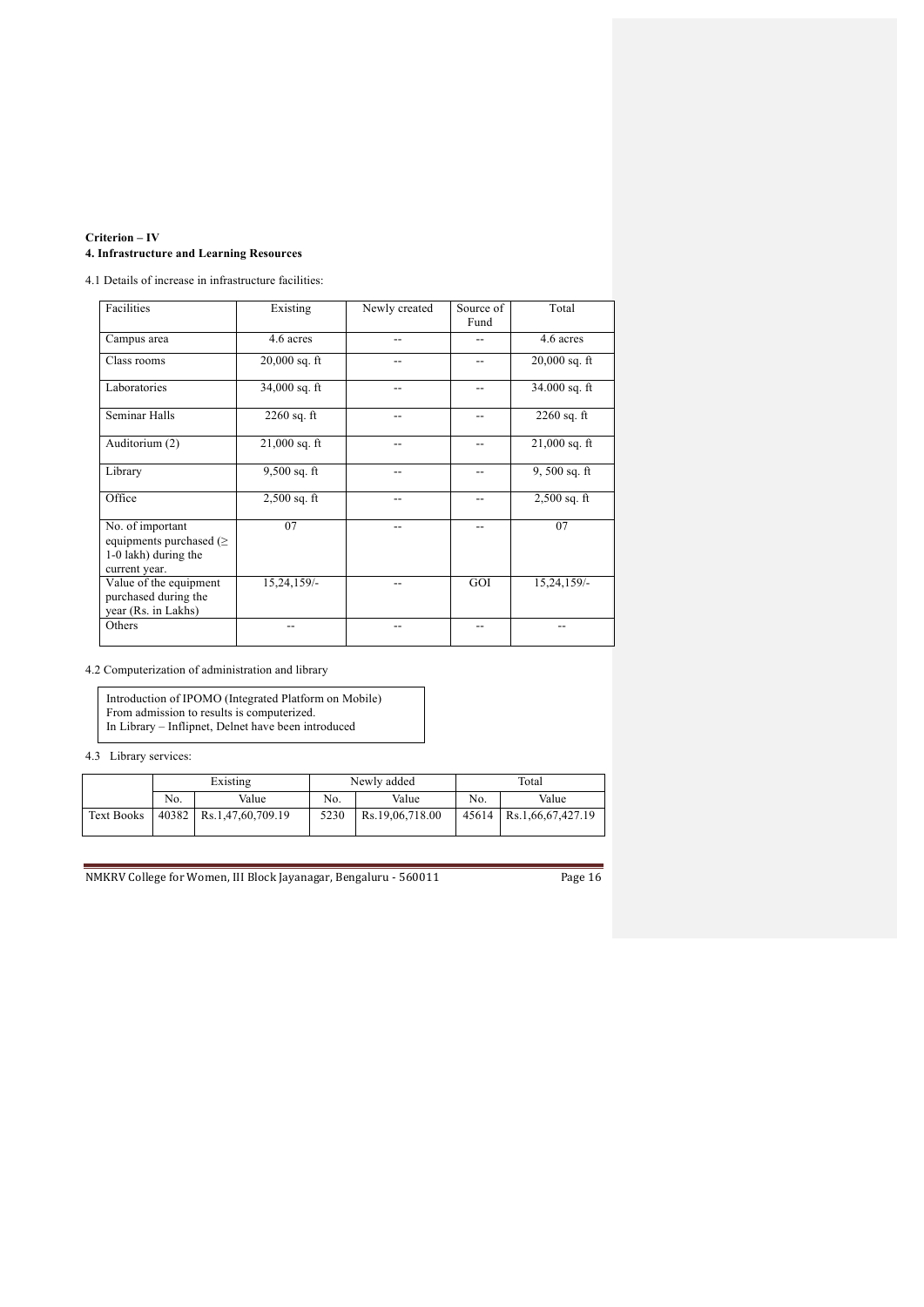## **Criterion – IV 4. Infrastructure and Learning Resources**

4.1 Details of increase in infrastructure facilities:

| Facilities                                                                                 | Existing        | Newly created | Source of<br>Fund | Total           |
|--------------------------------------------------------------------------------------------|-----------------|---------------|-------------------|-----------------|
| Campus area                                                                                | 4.6 acres       |               |                   | 4.6 acres       |
| Class rooms                                                                                | $20,000$ sq. ft |               |                   | $20,000$ sq. ft |
| Laboratories                                                                               | $34,000$ sq. ft |               |                   | $34.000$ sq. ft |
| Seminar Halls                                                                              | $2260$ sq. ft   |               |                   | $2260$ sq. ft   |
| Auditorium (2)                                                                             | $21,000$ sq. ft |               |                   | $21,000$ sq. ft |
| Library                                                                                    | $9,500$ sq. ft  |               | --                | $9,500$ sq. ft  |
| Office                                                                                     | $2,500$ sq. ft  |               |                   | $2,500$ sq. ft  |
| No. of important<br>equipments purchased ( $\geq$<br>1-0 lakh) during the<br>current year. | 07              |               |                   | 07              |
| Value of the equipment<br>purchased during the<br>year (Rs. in Lakhs)                      | 15,24,159/-     |               | GOI               | 15,24,159/-     |
| Others                                                                                     |                 |               |                   |                 |

4.2 Computerization of administration and library

Introduction of IPOMO (Integrated Platform on Mobile) From admission to results is computerized. In Library – Inflipnet, Delnet have been introduced

4.3 Library services:

|                   | Existing |                           |      | Newly added     | Total |                           |  |
|-------------------|----------|---------------------------|------|-----------------|-------|---------------------------|--|
|                   | No.      | Value                     | No.  | Value           | No.   | Value                     |  |
| <b>Text Books</b> |          | 40382   Rs.1,47,60,709.19 | 5230 | Rs.19.06.718.00 |       | 45614   Rs.1,66,67,427.19 |  |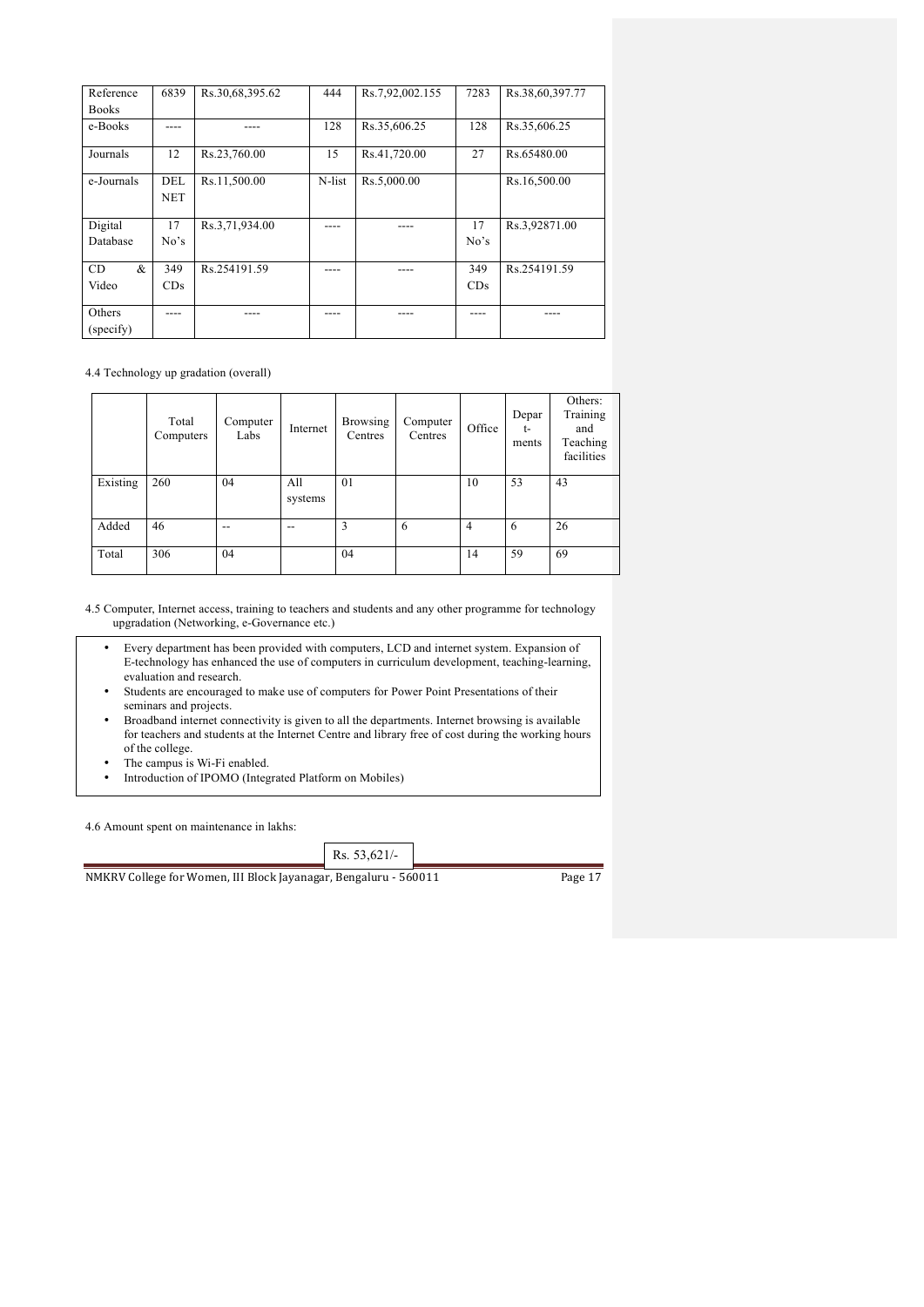| Reference      | 6839              | Rs.30,68,395.62 | 444    | Rs.7,92,002.155 | 7283 | Rs.38,60,397.77 |
|----------------|-------------------|-----------------|--------|-----------------|------|-----------------|
| <b>Books</b>   |                   |                 |        |                 |      |                 |
| e-Books        |                   |                 | 128    | Rs.35,606.25    | 128  | Rs.35,606.25    |
| Journals       | 12                | Rs.23,760.00    | 15     | Rs.41,720.00    | 27   | Rs.65480.00     |
| e-Journals     | DEL<br><b>NET</b> | Rs.11,500.00    | N-list | Rs.5,000.00     |      | Rs.16,500.00    |
| Digital        | 17                | Rs.3,71,934.00  |        |                 | 17   | Rs.3,92871.00   |
| Database       | No's              |                 |        |                 | No's |                 |
| &<br><b>CD</b> | 349               | Rs.254191.59    |        |                 | 349  | Rs 254191.59    |
| Video          | CDs               |                 |        |                 | CDs  |                 |
| Others         |                   |                 |        |                 |      |                 |
| (specify)      |                   |                 |        |                 |      |                 |

4.4 Technology up gradation (overall)

|          | Total<br>Computers | Computer<br>Labs | Internet       | <b>Browsing</b><br>Centres | Computer<br>Centres | Office         | Depar<br>$t-$<br>ments | Others:<br>Training<br>and<br>Teaching<br>facilities |
|----------|--------------------|------------------|----------------|----------------------------|---------------------|----------------|------------------------|------------------------------------------------------|
| Existing | 260                | 04               | All<br>systems | 01                         |                     | 10             | 53                     | 43                                                   |
| Added    | 46                 | $- -$            | --             | 3                          | 6                   | $\overline{4}$ | 6                      | 26                                                   |
| Total    | 306                | 04               |                | 04                         |                     | 14             | 59                     | 69                                                   |

4.5 Computer, Internet access, training to teachers and students and any other programme for technology upgradation (Networking, e-Governance etc.)

- Every department has been provided with computers, LCD and internet system. Expansion of E-technology has enhanced the use of computers in curriculum development, teaching-learning, evaluation and research.
- Students are encouraged to make use of computers for Power Point Presentations of their seminars and projects.
- Broadband internet connectivity is given to all the departments. Internet browsing is available for teachers and students at the Internet Centre and library free of cost during the working hours of the college.
- The campus is Wi-Fi enabled.<br>• Introduction of IPOMO (Integrated)
- Introduction of IPOMO (Integrated Platform on Mobiles)

4.6 Amount spent on maintenance in lakhs: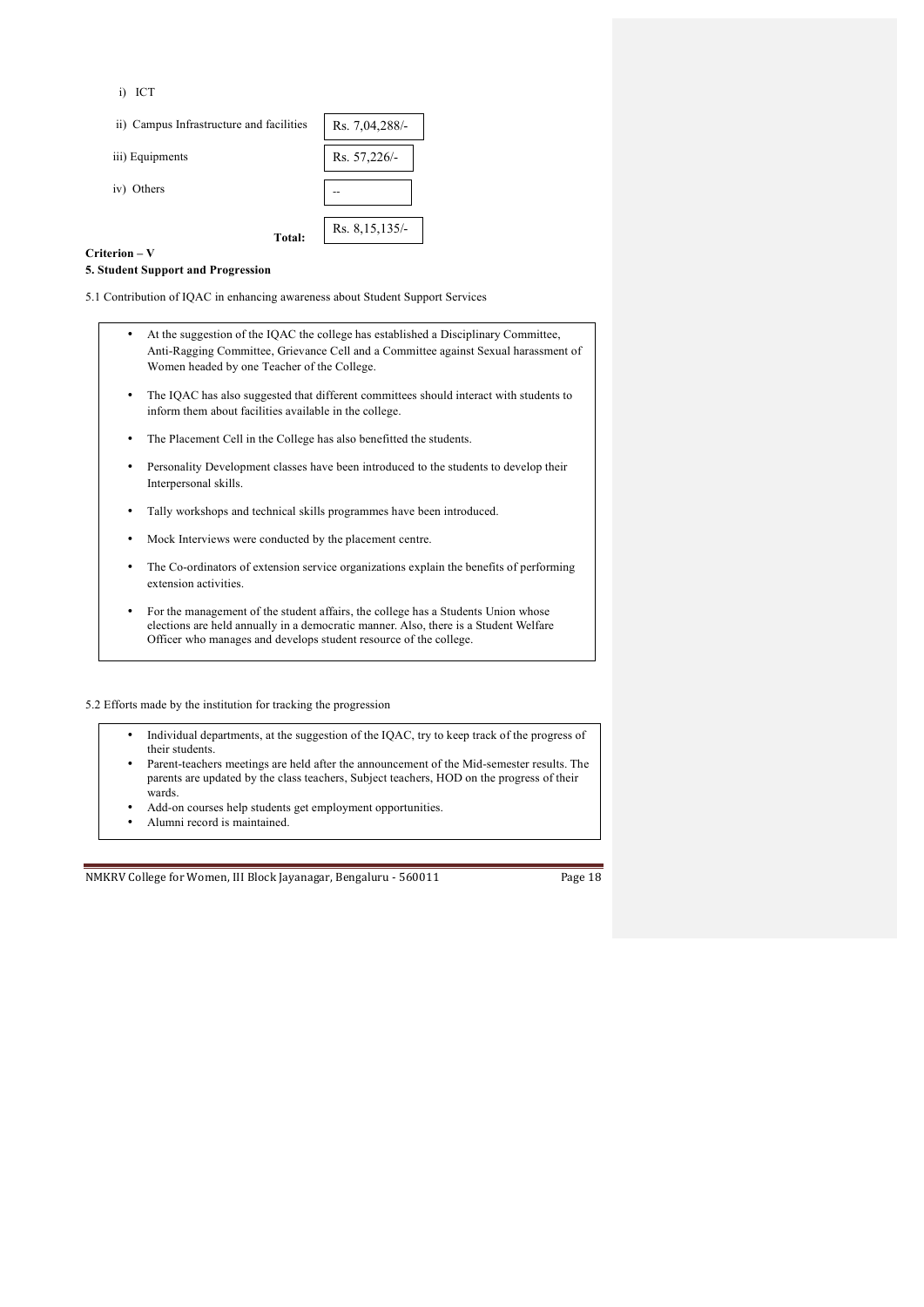i) ICT

ii) Campus Infrastructure and facilities

iii) Equipments

iv) Others

| acilities | Rs. 7,04,288/- |
|-----------|----------------|
|           | Rs. 57,226/-   |
|           |                |
| Total:    | Rs. 8,15,135/- |

#### **Criterion – V**

#### **5. Student Support and Progression**

5.1 Contribution of IQAC in enhancing awareness about Student Support Services

| • At the suggestion of the IOAC the college has established a Disciplinary Committee. |
|---------------------------------------------------------------------------------------|
| Anti-Ragging Committee, Grievance Cell and a Committee against Sexual harassment of   |
| Women headed by one Teacher of the College.                                           |

- The IQAC has also suggested that different committees should interact with students to inform them about facilities available in the college.
- The Placement Cell in the College has also benefitted the students.
- Personality Development classes have been introduced to the students to develop their Interpersonal skills.
- Tally workshops and technical skills programmes have been introduced.
- Mock Interviews were conducted by the placement centre.
- The Co-ordinators of extension service organizations explain the benefits of performing extension activities.
- For the management of the student affairs, the college has a Students Union whose elections are held annually in a democratic manner. Also, there is a Student Welfare Officer who manages and develops student resource of the college.

5.2 Efforts made by the institution for tracking the progression

- Individual departments, at the suggestion of the IQAC, try to keep track of the progress of their students.
- Parent-teachers meetings are held after the announcement of the Mid-semester results. The parents are updated by the class teachers, Subject teachers, HOD on the progress of their wards.
- Add-on courses help students get employment opportunities.
- Alumni record is maintained.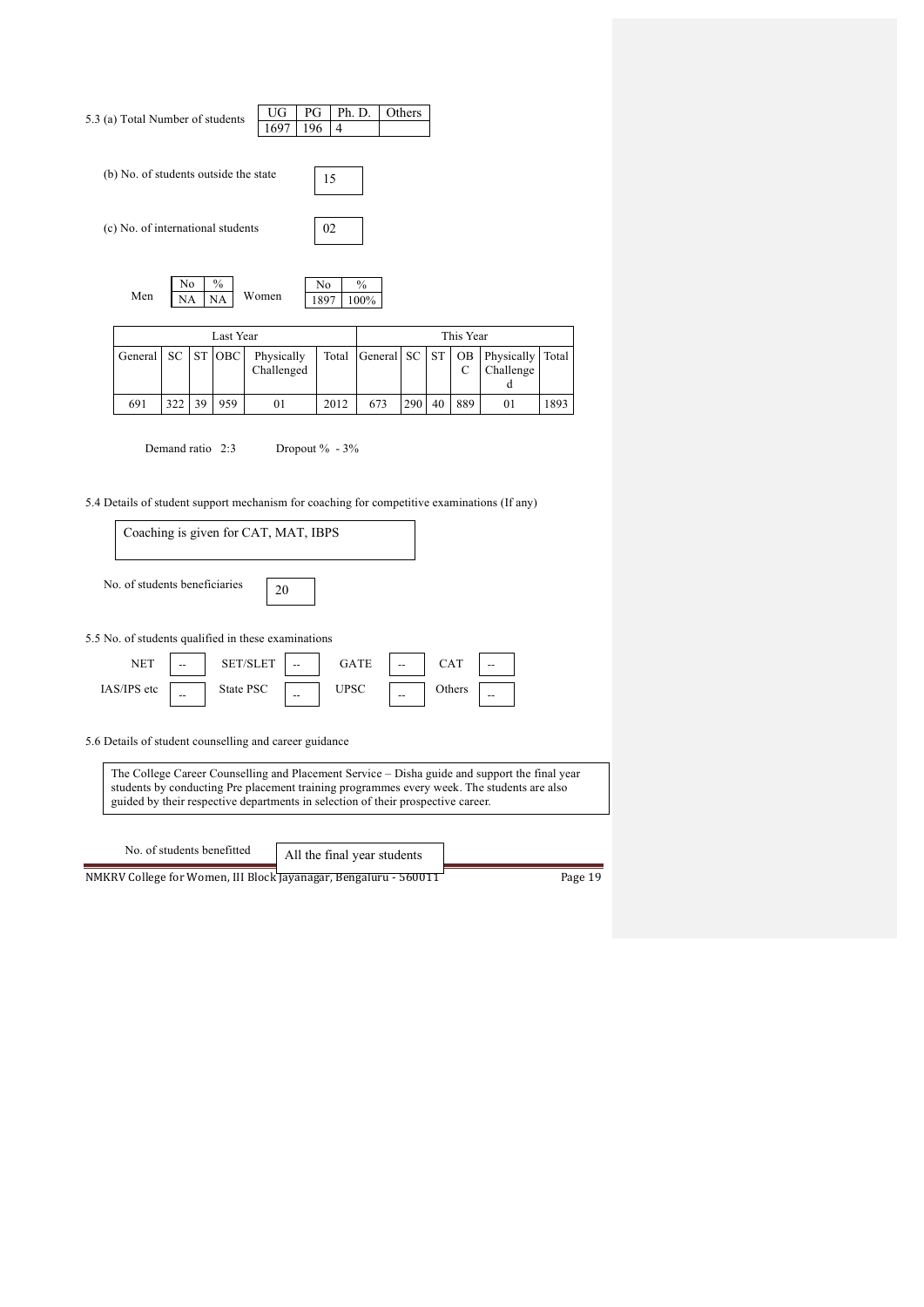| (b) No. of students outside the state<br>15<br>(c) No. of international students<br>02<br>No<br>$\%$<br>No<br>$\%$<br>Men                                                                                                                                                       |
|---------------------------------------------------------------------------------------------------------------------------------------------------------------------------------------------------------------------------------------------------------------------------------|
|                                                                                                                                                                                                                                                                                 |
|                                                                                                                                                                                                                                                                                 |
| Women<br>NA<br>NA<br>1897<br>100%                                                                                                                                                                                                                                               |
| Last Year<br>This Year                                                                                                                                                                                                                                                          |
| <b>ST</b><br>OBC<br>Physically<br><b>ST</b><br>OB<br>Physically<br>General<br>SC<br>Total<br>General SC<br>Total<br>Challenged<br>C<br>Challenge<br>d                                                                                                                           |
| 322<br>39<br>959<br>290<br>40<br>889<br>1893<br>691<br>01<br>2012<br>673<br>01                                                                                                                                                                                                  |
| 5.4 Details of student support mechanism for coaching for competitive examinations (If any)<br>Coaching is given for CAT, MAT, IBPS<br>No. of students beneficiaries<br>20                                                                                                      |
| 5.5 No. of students qualified in these examinations<br><b>NET</b><br>SET/SLET<br><b>GATE</b><br>CAT<br>IAS/IPS etc<br>State PSC<br><b>UPSC</b><br>Others<br>$\overline{a}$                                                                                                      |
| 5.6 Details of student counselling and career guidance                                                                                                                                                                                                                          |
| The College Career Counselling and Placement Service – Disha guide and support the final year<br>students by conducting Pre placement training programmes every week. The students are also<br>guided by their respective departments in selection of their prospective career. |
| No. of students benefitted<br>All the final year students<br>NMKRV College for Women, III Block Jayanagar, Bengaluru - 560011<br>Page 19                                                                                                                                        |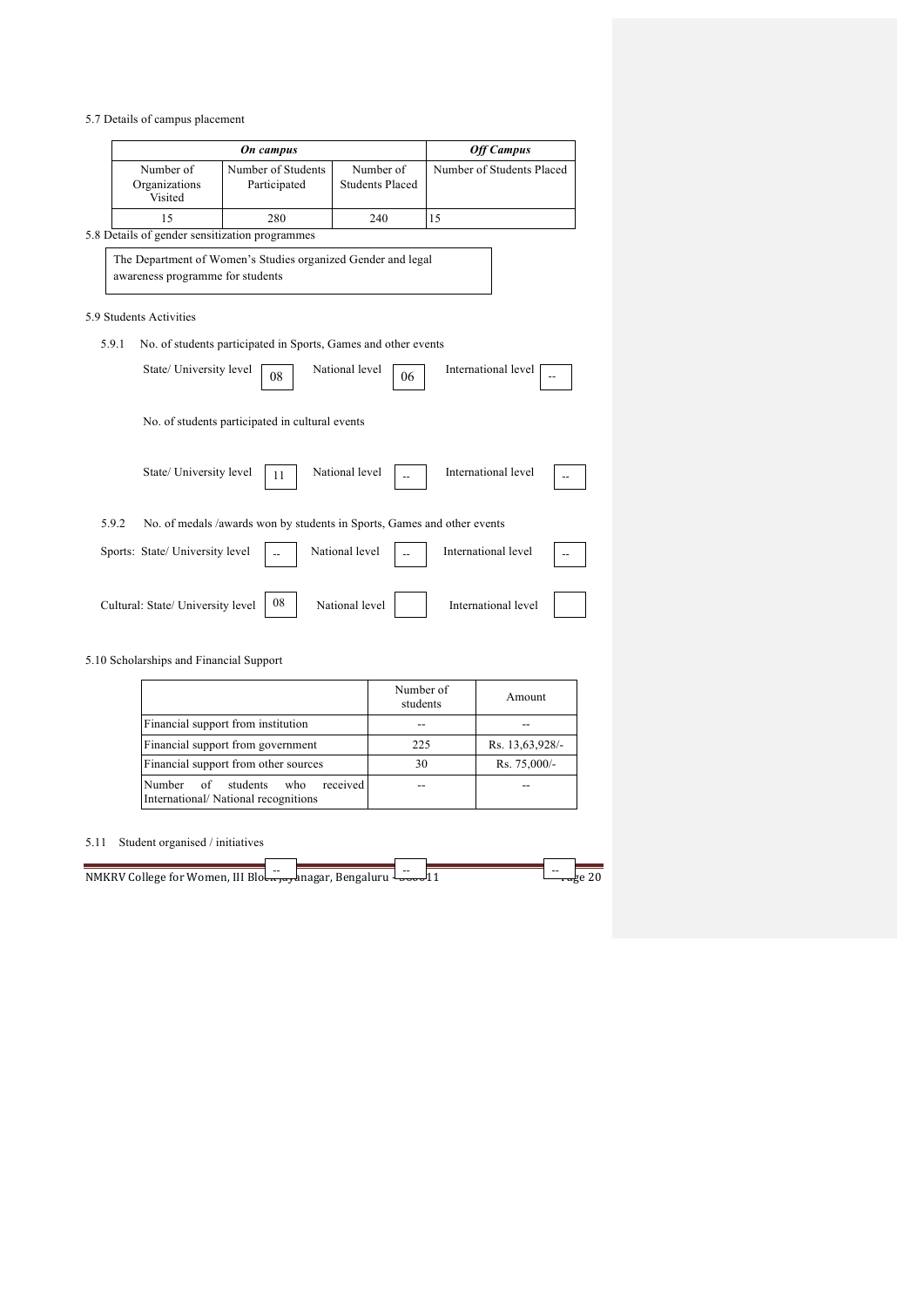5.7 Details of campus placement

|       |                                       | On campus                                                               |                                     | <b>Off Campus</b>         |
|-------|---------------------------------------|-------------------------------------------------------------------------|-------------------------------------|---------------------------|
|       | Number of<br>Organizations<br>Visited | Number of Students<br>Participated                                      | Number of<br><b>Students Placed</b> | Number of Students Placed |
|       | 15                                    | 280                                                                     | 240                                 | 15                        |
|       |                                       | 5.8 Details of gender sensitization programmes                          |                                     |                           |
|       | awareness programme for students      | The Department of Women's Studies organized Gender and legal            |                                     |                           |
|       | 5.9 Students Activities               |                                                                         |                                     |                           |
| 5.9.1 |                                       | No. of students participated in Sports, Games and other events          |                                     |                           |
|       | State/ University level               | 08                                                                      | National level<br>06                | International level       |
|       |                                       | No. of students participated in cultural events                         |                                     |                           |
|       | State/ University level               | 11                                                                      | National level                      | International level       |
| 5.9.2 |                                       | No. of medals /awards won by students in Sports, Games and other events |                                     |                           |
|       | Sports: State/ University level       |                                                                         | National level                      | International level       |
|       | Cultural: State/ University level     | 08                                                                      | National level                      | International level       |

5.10 Scholarships and Financial Support

|                                                                                    | Number of<br>students | Amount          |
|------------------------------------------------------------------------------------|-----------------------|-----------------|
| Financial support from institution                                                 |                       |                 |
| Financial support from government                                                  | 225                   | Rs. 13,63,928/- |
| Financial support from other sources                                               | 30                    | Rs. 75,000/-    |
| received<br>Number<br>of<br>students<br>who<br>International/National recognitions |                       |                 |

# 5.11 Student organised / initiatives

| 11 المحمد السلسلة NMKRV College for Women, III Blo | $ -$ | -- | $\sim$ $\sim$ |  |
|----------------------------------------------------|------|----|---------------|--|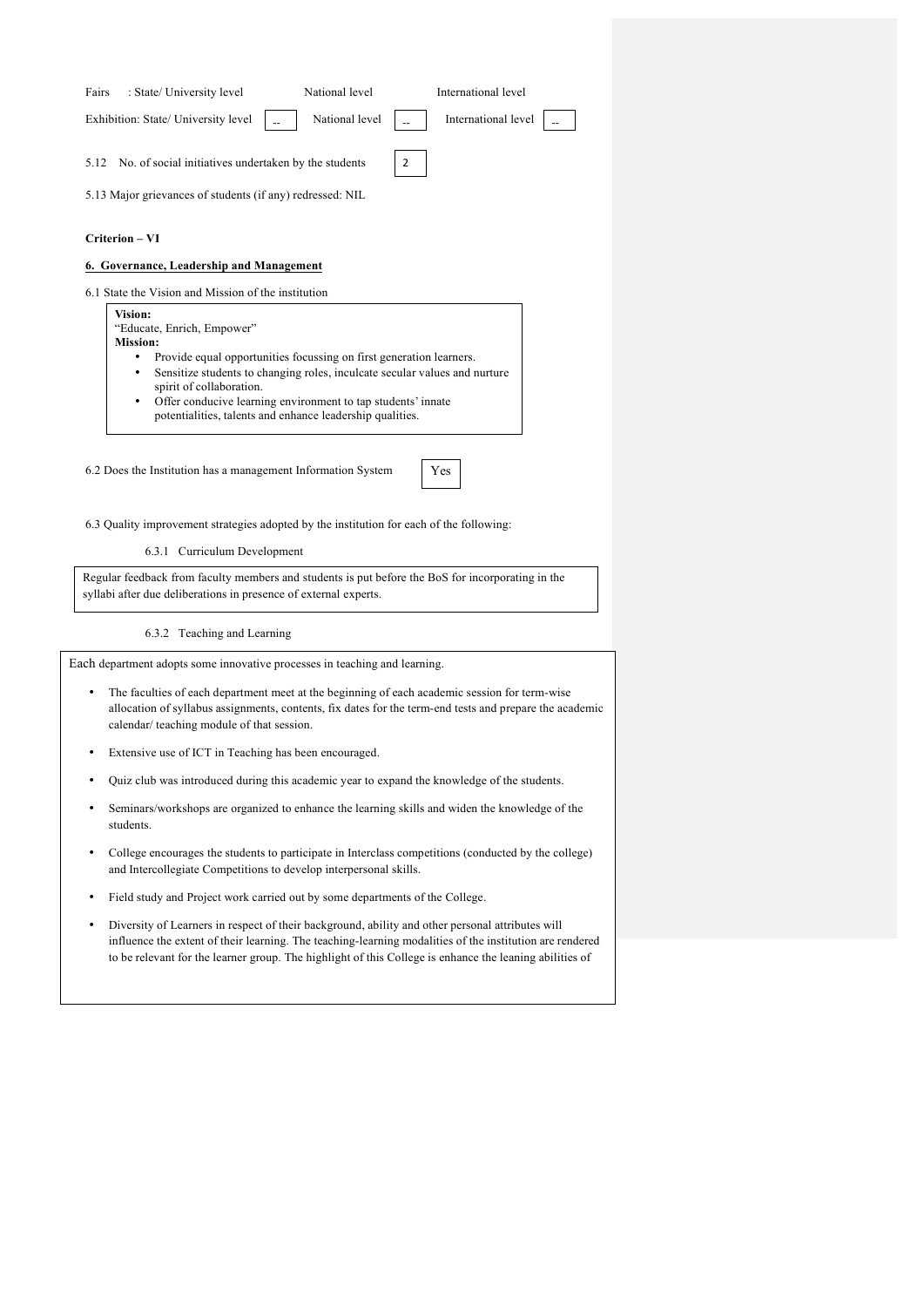| Fairs | : State/ University level                                 | National level    | International level                          |  |
|-------|-----------------------------------------------------------|-------------------|----------------------------------------------|--|
|       | Exhibition: State/ University level                       |                   | National level   _   International level   _ |  |
|       | 5.12 No. of social initiatives undertaken by the students | $\vert$ 2 $\vert$ |                                              |  |
|       | 5.13 Major grievances of students (if any) redressed: NIL |                   |                                              |  |
|       |                                                           |                   |                                              |  |

## **Criterion – VI**

## **6. Governance, Leadership and Management**

6.1 State the Vision and Mission of the institution

**Vision:** "Educate, Enrich, Empower"

- **Mission:** • Provide equal opportunities focussing on first generation learners.
	- Sensitize students to changing roles, inculcate secular values and nurture spirit of collaboration.
	- Offer conducive learning environment to tap students' innate potentialities, talents and enhance leadership qualities.

6.2 Does the Institution has a management Information System

6.3 Quality improvement strategies adopted by the institution for each of the following:

6.3.1 Curriculum Development

Regular feedback from faculty members and students is put before the BoS for incorporating in the syllabi after due deliberations in presence of external experts.

### 6.3.2 Teaching and Learning

Each department adopts some innovative processes in teaching and learning.

- The faculties of each department meet at the beginning of each academic session for term-wise allocation of syllabus assignments, contents, fix dates for the term-end tests and prepare the academic calendar/ teaching module of that session.
- Extensive use of ICT in Teaching has been encouraged.
- Quiz club was introduced during this academic year to expand the knowledge of the students.
- Seminars/workshops are organized to enhance the learning skills and widen the knowledge of the students.
- and Intercollegiate Competitions to develop interpersonal skills. • College encourages the students to participate in Interclass competitions (conducted by the college)
- Field study and Project work carried out by some departments of the College.
- Diversity of Learners in respect of their background, ability and other personal attributes will influence the extent of their learning. The teaching-learning modalities of the institution are rendered to be relevant for the learner group. The highlight of this College is enhance the leaning abilities of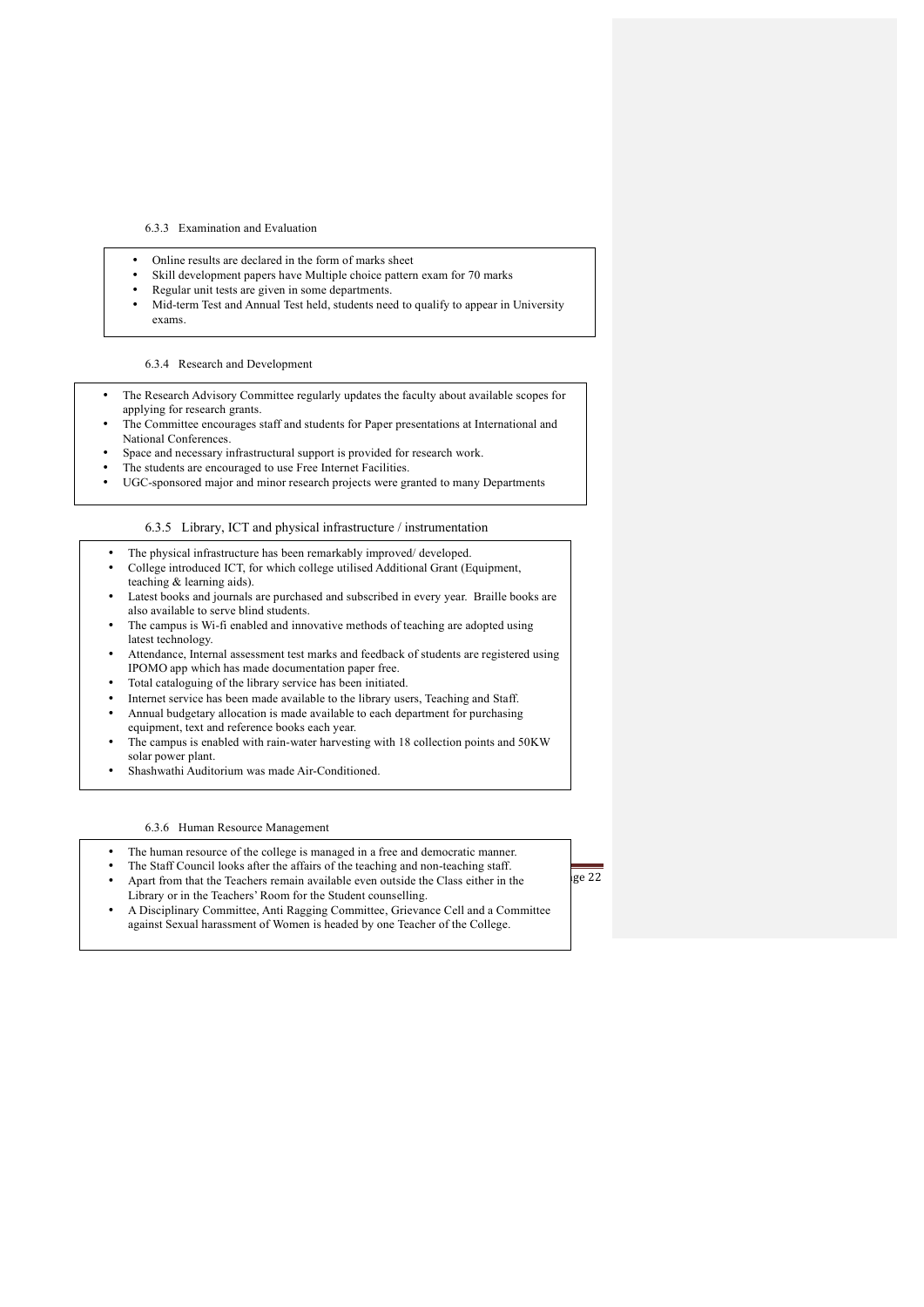#### 6.3.3 Examination and Evaluation

- Online results are declared in the form of marks sheet
- Skill development papers have Multiple choice pattern exam for 70 marks
- Regular unit tests are given in some departments.
- Mid-term Test and Annual Test held, students need to qualify to appear in University exams.

### 6.3.4 Research and Development

- The Research Advisory Committee regularly updates the faculty about available scopes for applying for research grants.
- The Committee encourages staff and students for Paper presentations at International and National Conferences.
- Space and necessary infrastructural support is provided for research work.
- The students are encouraged to use Free Internet Facilities.
- UGC-sponsored major and minor research projects were granted to many Departments

### 6.3.5 Library, ICT and physical infrastructure / instrumentation

- The physical infrastructure has been remarkably improved/developed.
- College introduced ICT, for which college utilised Additional Grant (Equipment, teaching & learning aids).
- Latest books and journals are purchased and subscribed in every year. Braille books are also available to serve blind students.
- The campus is Wi-fi enabled and innovative methods of teaching are adopted using latest technology.
- Attendance, Internal assessment test marks and feedback of students are registered using IPOMO app which has made documentation paper free.
- Total cataloguing of the library service has been initiated.
- Internet service has been made available to the library users, Teaching and Staff. • Annual budgetary allocation is made available to each department for purchasing equipment, text and reference books each year.
- The campus is enabled with rain-water harvesting with 18 collection points and 50KW solar power plant.
- Shashwathi Auditorium was made Air-Conditioned.

#### 6.3.6 Human Resource Management

- The human resource of the college is managed in a free and democratic manner.
- The Staff Council looks after the affairs of the teaching and non-teaching staff.
- Apart from that the Teachers remain available even outside the Class either in the  $\lvert$ ge 22
	- Library or in the Teachers' Room for the Student counselling. • A Disciplinary Committee, Anti Ragging Committee, Grievance Cell and a Committee against Sexual harassment of Women is headed by one Teacher of the College.
-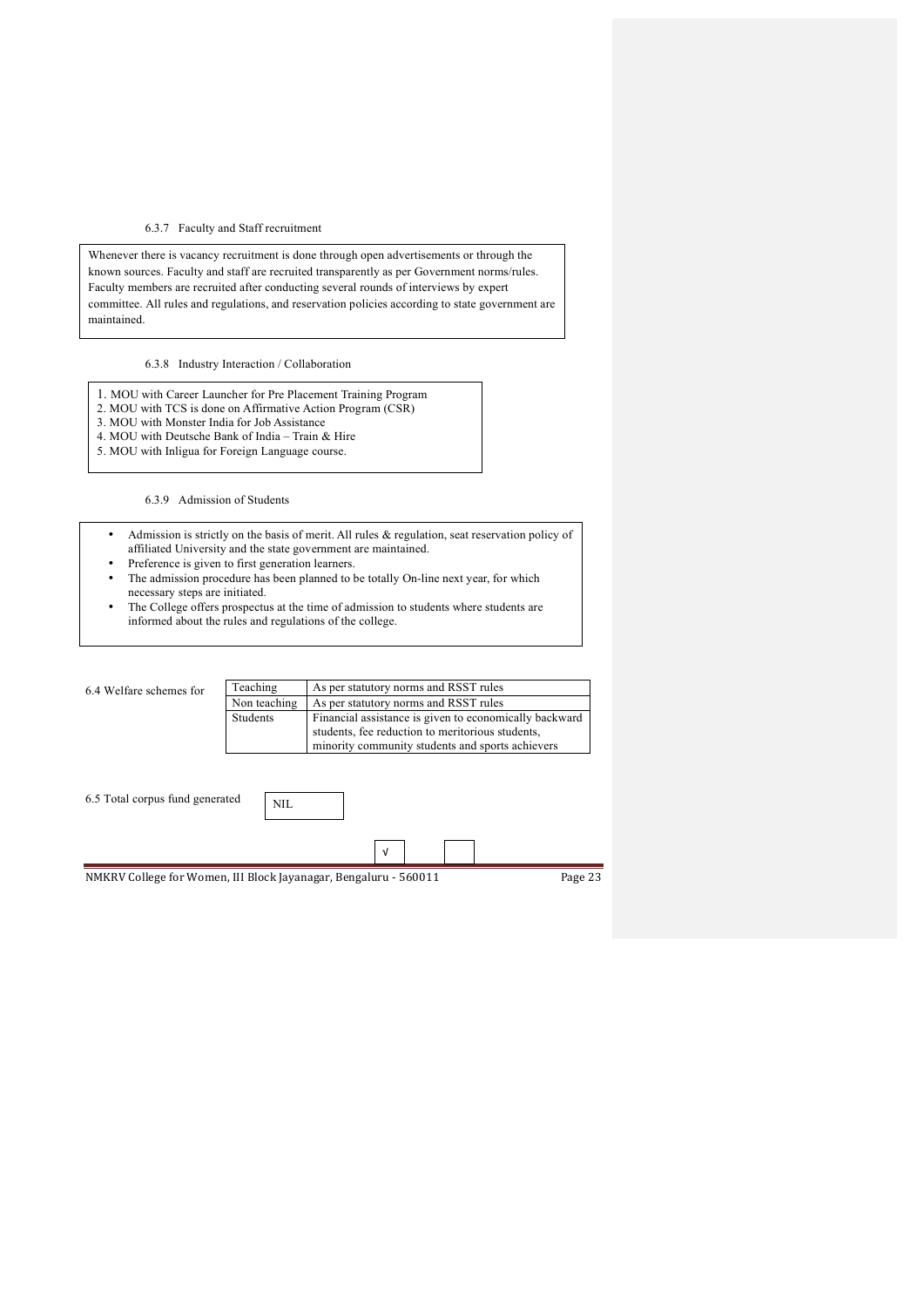## 6.3.7 Faculty and Staff recruitment

Whenever there is vacancy recruitment is done through open advertisements or through the known sources. Faculty and staff are recruited transparently as per Government norms/rules. Faculty members are recruited after conducting several rounds of interviews by expert committee. All rules and regulations, and reservation policies according to state government are maintained.

6.3.8 Industry Interaction / Collaboration

- 1. MOU with Career Launcher for Pre Placement Training Program
- 2. MOU with TCS is done on Affirmative Action Program (CSR)
- 3. MOU with Monster India for Job Assistance
- 4. MOU with Deutsche Bank of India Train & Hire
- 5. MOU with Inligua for Foreign Language course.

6.3.9 Admission of Students

- Admission is strictly on the basis of merit. All rules & regulation, seat reservation policy of affiliated University and the state government are maintained.
- Preference is given to first generation learners.
- The admission procedure has been planned to be totally On-line next year, for which necessary steps are initiated.
- The College offers prospectus at the time of admission to students where students are informed about the rules and regulations of the college.

| 6.4 Welfare schemes for         | Teaching     | As per statutory norms and RSST rules                            |         |
|---------------------------------|--------------|------------------------------------------------------------------|---------|
|                                 | Non teaching | As per statutory norms and RSST rules                            |         |
|                                 | Students     | Financial assistance is given to economically backward           |         |
|                                 |              | students, fee reduction to meritorious students,                 |         |
|                                 |              | minority community students and sports achievers                 |         |
| 6.5 Total corpus fund generated | NIL.         |                                                                  |         |
|                                 |              | $\sqrt{ }$                                                       |         |
|                                 |              | NMKRV College for Women, III Block Jayanagar, Bengaluru - 560011 | Page 23 |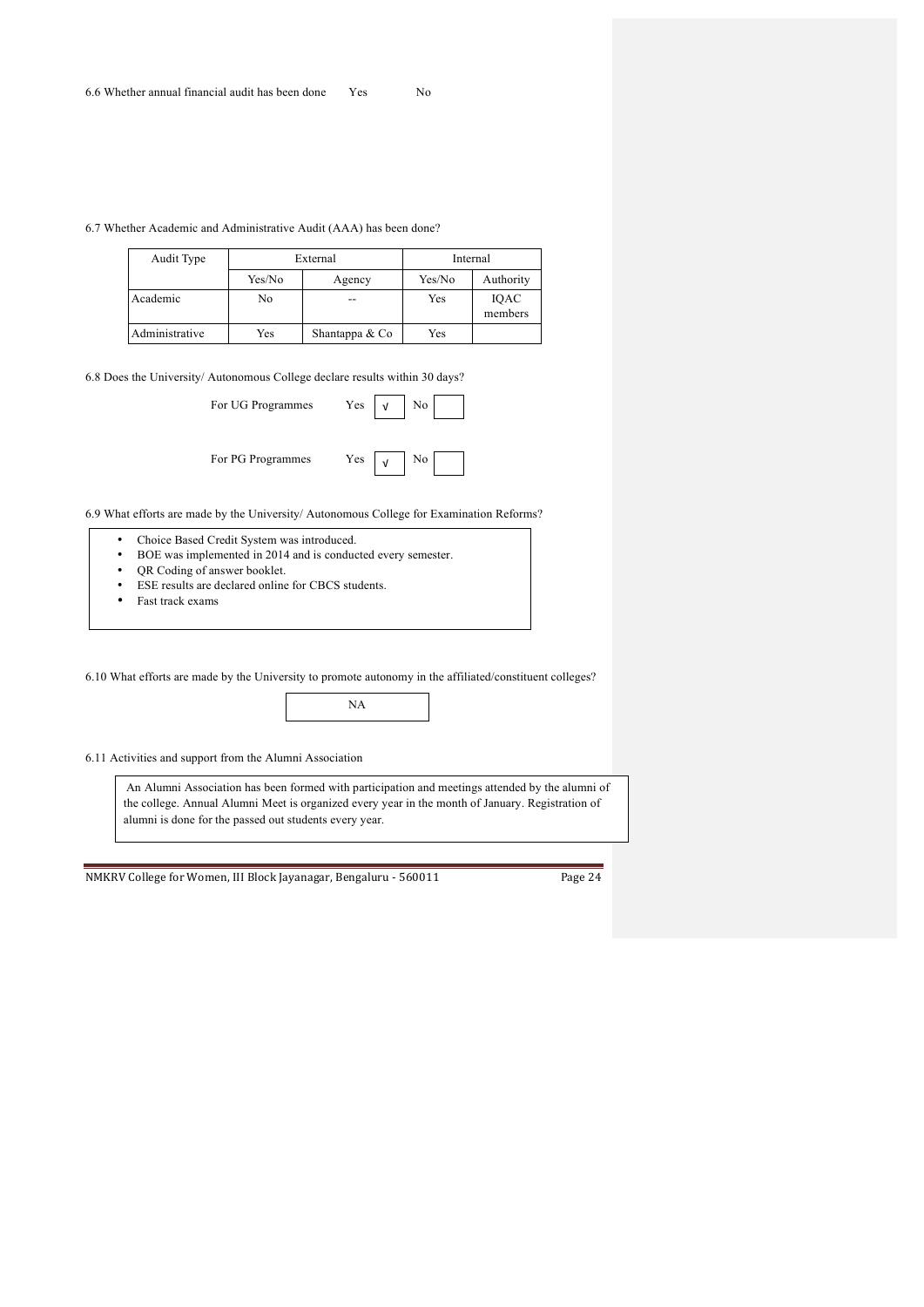6.7 Whether Academic and Administrative Audit (AAA) has been done?

| Audit Type     | External |                | Internal |                 |
|----------------|----------|----------------|----------|-----------------|
|                | Yes/No   | Agency         | Yes/No   | Authority       |
| Academic       | No       | --             | Yes      | IQAC<br>members |
| Administrative | Yes      | Shantappa & Co | Yes      |                 |

6.8 Does the University/ Autonomous College declare results within 30 days?

| For UG Programmes | Yes<br>No               |
|-------------------|-------------------------|
| For PG Programmes | Yes<br>No<br>$\sqrt{ }$ |

6.9 What efforts are made by the University/ Autonomous College for Examination Reforms?

- Choice Based Credit System was introduced.
- BOE was implemented in 2014 and is conducted every semester.<br>• OB Codina of answer booklet
- QR Coding of answer booklet.<br>• ESE results are declared online
- ESE results are declared online for CBCS students.
- Fast track exams

6.10 What efforts are made by the University to promote autonomy in the affiliated/constituent colleges?

NA

6.11 Activities and support from the Alumni Association

An Alumni Association has been formed with participation and meetings attended by the alumni of the college. Annual Alumni Meet is organized every year in the month of January. Registration of alumni is done for the passed out students every year.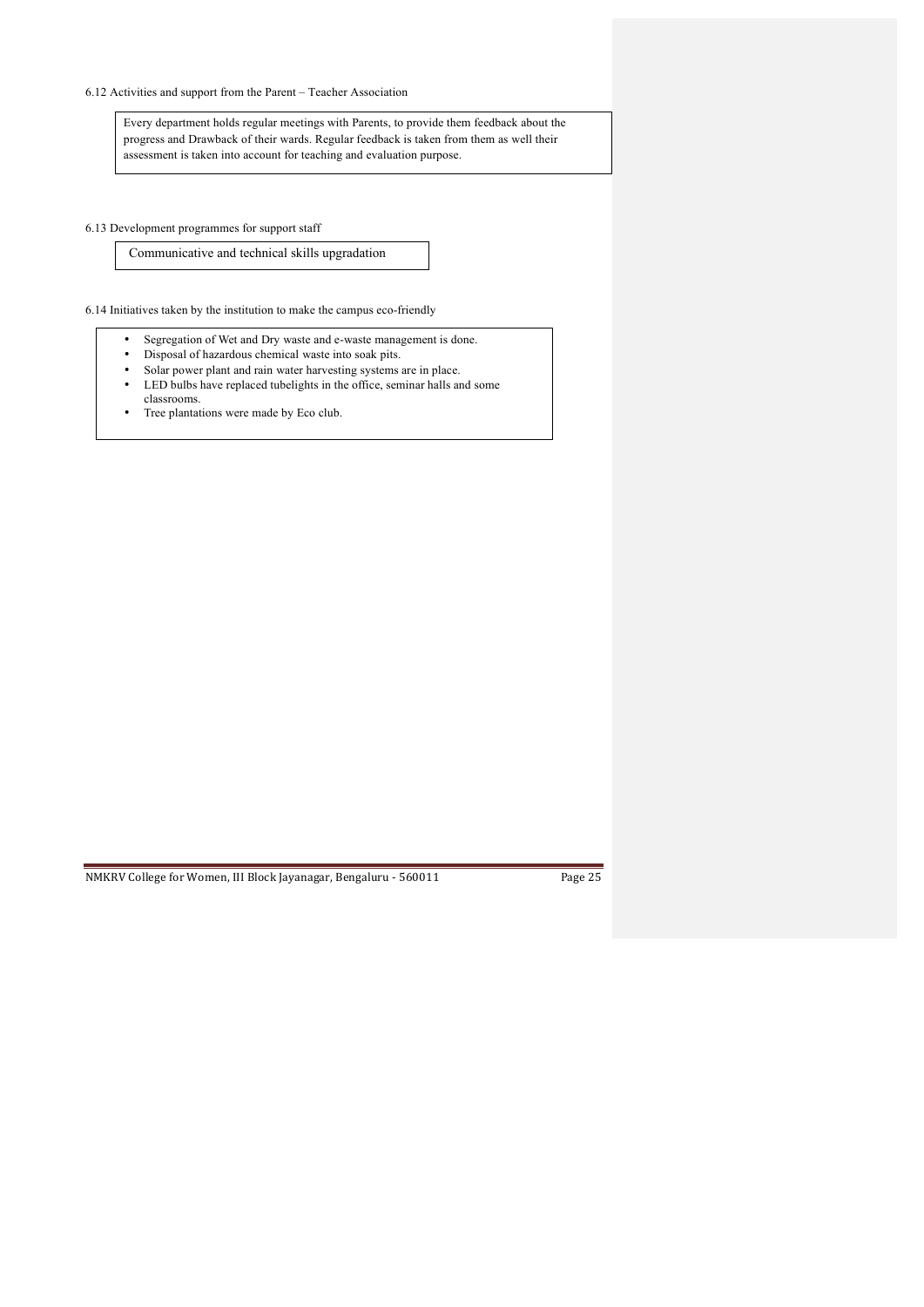## 6.12 Activities and support from the Parent – Teacher Association

Every department holds regular meetings with Parents, to provide them feedback about the progress and Drawback of their wards. Regular feedback is taken from them as well their assessment is taken into account for teaching and evaluation purpose.

6.13 Development programmes for support staff

 Communicative and technical skills upgradation

6.14 Initiatives taken by the institution to make the campus eco-friendly

- Segregation of Wet and Dry waste and e-waste management is done.
- Disposal of hazardous chemical waste into soak pits.<br>• Solar nower plant and rain water harvesting systems
- Solar power plant and rain water harvesting systems are in place.<br>• LED bulbs have replaced tubelights in the office seminar balls are LED bulbs have replaced tubelights in the office, seminar halls and some
- classrooms. • Tree plantations were made by Eco club.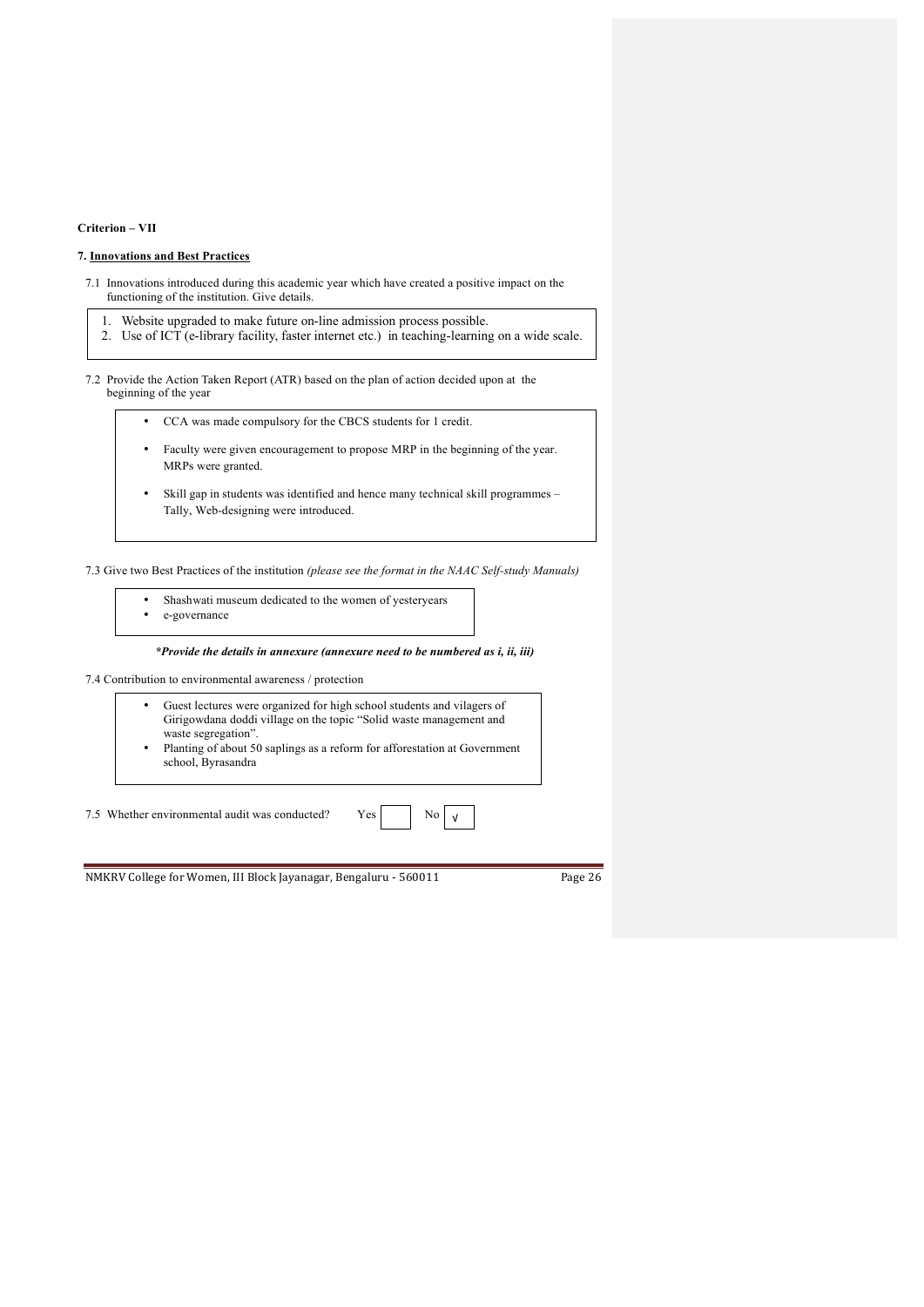## **Criterion – VII**

### **7. Innovations and Best Practices**

- 7.1 Innovations introduced during this academic year which have created a positive impact on the functioning of the institution. Give details.
	- 1. Website upgraded to make future on-line admission process possible.
	- 2. Use of ICT (e-library facility, faster internet etc.) in teaching-learning on a wide scale.

7.2 Provide the Action Taken Report (ATR) based on the plan of action decided upon at the beginning of the year

- CCA was made compulsory for the CBCS students for 1 credit.
- Faculty were given encouragement to propose MRP in the beginning of the year. MRPs were granted.
- Skill gap in students was identified and hence many technical skill programmes Tally, Web-designing were introduced.

7.3 Give two Best Practices of the institution *(please see the format in the NAAC Self-study Manuals)*

- Shashwati museum dedicated to the women of yesteryears
- e-governance

*\*Provide the details in annexure (annexure need to be numbered as i, ii, iii)*

7.4 Contribution to environmental awareness / protection

- Guest lectures were organized for high school students and vilagers of Girigowdana doddi village on the topic "Solid waste management and waste segregation".
- Planting of about 50 saplings as a reform for afforestation at Government school, Byrasandra

√

7.5 Whether environmental audit was conducted? Yes No

|--|--|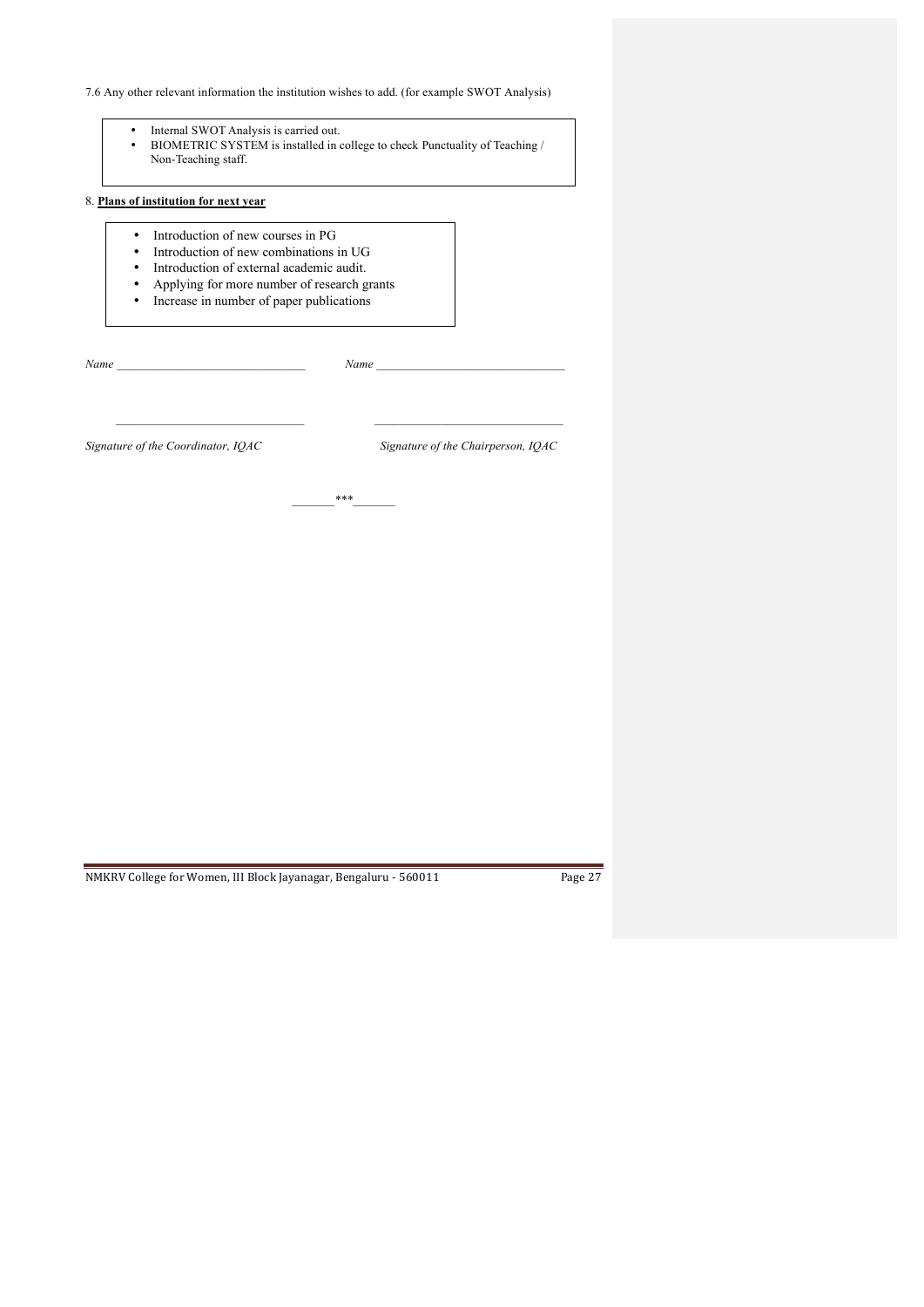7.6 Any other relevant information the institution wishes to add. (for example SWOT Analysis)

- Internal SWOT Analysis is carried out.<br>• BIOMETRIC SYSTEM is installed in
- BIOMETRIC SYSTEM is installed in college to check Punctuality of Teaching / Non-Teaching staff.

## 8. **Plans of institution for next year**

- Introduction of new courses in PG
- Introduction of new combinations in UG<br>• Introduction of external academic audit
- Introduction of external academic audit.<br>• Anniving for more number of research g
- Applying for more number of research grants
- Increase in number of paper publications

*Name \_\_\_\_\_\_\_\_\_\_\_\_\_\_\_\_\_\_\_\_\_\_\_\_\_\_\_\_\_\_\_ Name \_\_\_\_\_\_\_\_\_\_\_\_\_\_\_\_\_\_\_\_\_\_\_\_\_\_\_\_\_\_\_* 

*Signature of the Coordinator, IQAC Signature of the Chairperson, IQAC*

*\_\_\_\_\_\_\_\*\*\*\_\_\_\_\_\_\_*